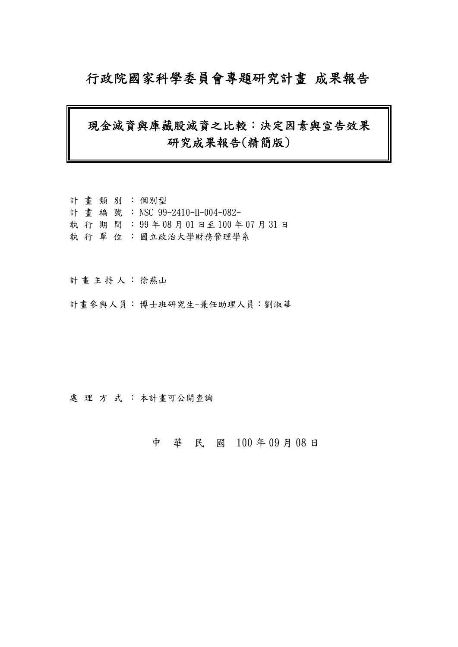### 行政院國家科學委員會專題研究計畫 成果報告

# 現金減資與庫藏股減資之比較:決定因素與宣告效果 研究成果報告(精簡版)

|  |  | 計 書類別 : 個別型                  |
|--|--|------------------------------|
|  |  | 計畫編號: NSC 99-2410-H-004-082- |
|  |  | 執行期間: 99年08月01日至100年07月31日   |
|  |  | 執 行 單 位 : 國立政治大學財務管理學系       |

計畫主持人: 徐燕山

計畫參與人員: 博士班研究生-兼任助理人員:劉淑華

處理方式:本計畫可公開查詢

中 華 民 國 100 年 09 月 08 日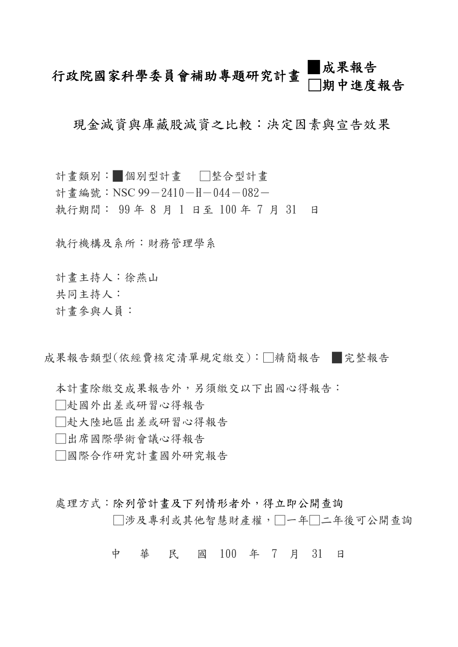# 行政院國家科學委員會補助專題研究計畫 ■成果報告 □期中進度報告

現金減資與庫藏股減資之比較:決定因素與宣告效果

計畫類別:■個別型計畫 □整合型計畫 計書編號: NSC 99-2410-H-044-082-

執行期間: 99 年 8 月 1 日至 100 年 7 月 31 日

執行機構及系所:財務管理學系

計畫主持人:徐燕山

共同主持人:

計畫參與人員:

成果報告類型(依經費核定清單規定繳交):□精簡報告 ■完整報告

本計畫除繳交成果報告外,另須繳交以下出國心得報告:

- □赴國外出差或研習心得報告
- □赴大陸地區出差或研習心得報告
- □出席國際學術會議心得報告
- □國際合作研究計畫國外研究報告

處理方式:除列管計書及下列情形者外,得立即公開查詢

□涉及專利或其他智慧財產權,□一年□二年後可公開查詢

中 華 民 國 100 年 7 月 31 日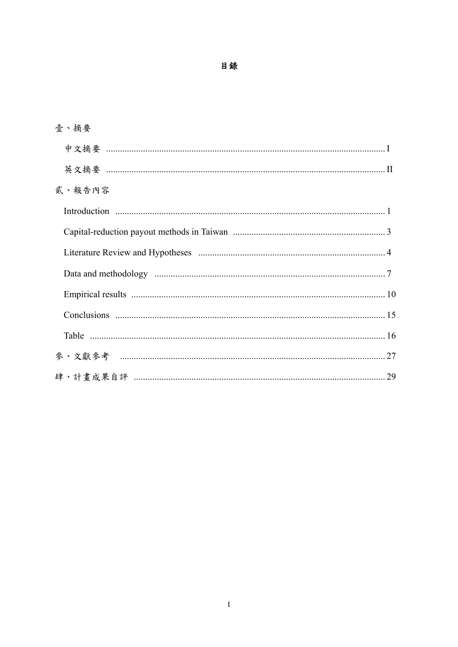### 目錄

| 壹、摘要   |    |
|--------|----|
|        |    |
|        |    |
| 貳、報告內容 |    |
|        |    |
|        |    |
|        |    |
|        |    |
|        |    |
|        |    |
|        |    |
|        |    |
|        | 29 |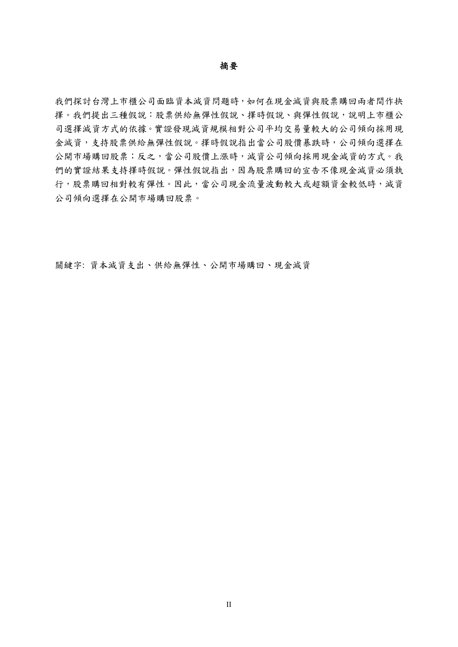摘要

我們探討台灣上市櫃公司面臨資本減資問題時,如何在現金減資與股票購回兩者間作抉 擇。我們提出三種假說:股票供給無彈性假說、擇時假說、與彈性假說,說明上市櫃公 司選擇減資方式的依據。實證發現減資規模相對公司平均交易量較大的公司傾向採用現 金減資,支持股票供給無彈性假說。擇時假說指出當公司股價暴跌時,公司傾向選擇在 公開市場購回股票;反之,當公司股價上漲時,減資公司傾向採用現金減資的方式。我 們的實證結果支持擇時假說。彈性假說指出,因為股票購回的宣告不像現金減資必須執 行,股票購回相對較有彈性。因此,當公司現金流量波動較大或超額資金較低時,減資 公司傾向選擇在公開市場購回股票。

關鍵字: 資本減資支出、供給無彈性、公開市場購回、現金減資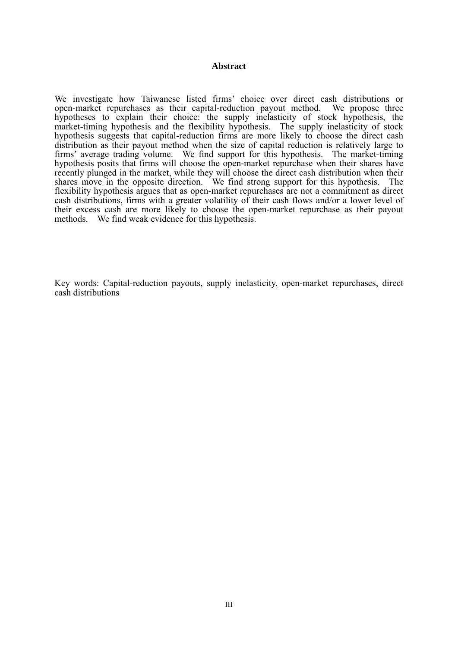#### **Abstract**

We investigate how Taiwanese listed firms' choice over direct cash distributions or open-market repurchases as their capital-reduction payout method. We propose three hypotheses to explain their choice: the supply inelasticity of stock hypothesis, the market-timing hypothesis and the flexibility hypothesis. The supply inelasticity of stock hypothesis suggests that capital-reduction firms are more likely to choose the direct cash distribution as their payout method when the size of capital reduction is relatively large to firms' average trading volume. We find support for this hypothesis. The market-timing hypothesis posits that firms will choose the open-market repurchase when their shares have recently plunged in the market, while they will choose the direct cash distribution when their shares move in the opposite direction. We find strong support for this hypothesis. The flexibility hypothesis argues that as open-market repurchases are not a commitment as direct cash distributions, firms with a greater volatility of their cash flows and/or a lower level of their excess cash are more likely to choose the open-market repurchase as their payout methods. We find weak evidence for this hypothesis.

Key words: Capital-reduction payouts, supply inelasticity, open-market repurchases, direct cash distributions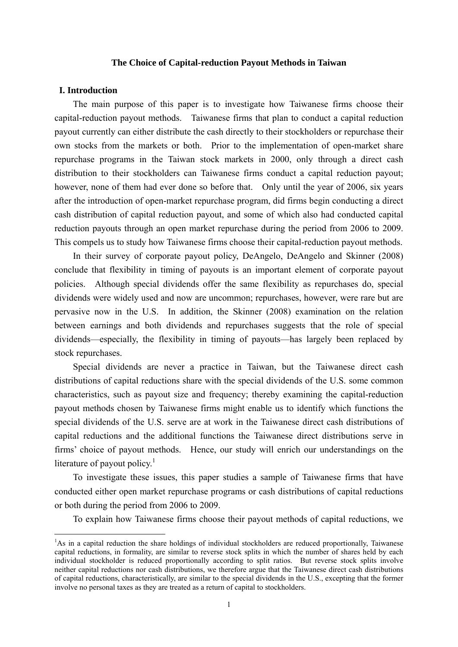#### **The Choice of Capital-reduction Payout Methods in Taiwan**

#### **I. Introduction**

1

The main purpose of this paper is to investigate how Taiwanese firms choose their capital-reduction payout methods. Taiwanese firms that plan to conduct a capital reduction payout currently can either distribute the cash directly to their stockholders or repurchase their own stocks from the markets or both. Prior to the implementation of open-market share repurchase programs in the Taiwan stock markets in 2000, only through a direct cash distribution to their stockholders can Taiwanese firms conduct a capital reduction payout; however, none of them had ever done so before that. Only until the year of 2006, six years after the introduction of open-market repurchase program, did firms begin conducting a direct cash distribution of capital reduction payout, and some of which also had conducted capital reduction payouts through an open market repurchase during the period from 2006 to 2009. This compels us to study how Taiwanese firms choose their capital-reduction payout methods.

In their survey of corporate payout policy, DeAngelo, DeAngelo and Skinner (2008) conclude that flexibility in timing of payouts is an important element of corporate payout policies. Although special dividends offer the same flexibility as repurchases do, special dividends were widely used and now are uncommon; repurchases, however, were rare but are pervasive now in the U.S. In addition, the Skinner (2008) examination on the relation between earnings and both dividends and repurchases suggests that the role of special dividends—especially, the flexibility in timing of payouts—has largely been replaced by stock repurchases.

Special dividends are never a practice in Taiwan, but the Taiwanese direct cash distributions of capital reductions share with the special dividends of the U.S. some common characteristics, such as payout size and frequency; thereby examining the capital-reduction payout methods chosen by Taiwanese firms might enable us to identify which functions the special dividends of the U.S. serve are at work in the Taiwanese direct cash distributions of capital reductions and the additional functions the Taiwanese direct distributions serve in firms' choice of payout methods. Hence, our study will enrich our understandings on the literature of payout policy. $\frac{1}{1}$ 

To investigate these issues, this paper studies a sample of Taiwanese firms that have conducted either open market repurchase programs or cash distributions of capital reductions or both during the period from 2006 to 2009.

To explain how Taiwanese firms choose their payout methods of capital reductions, we

<sup>&</sup>lt;sup>1</sup>As in a capital reduction the share holdings of individual stockholders are reduced proportionally, Taiwanese capital reductions, in formality, are similar to reverse stock splits in which the number of shares held by each individual stockholder is reduced proportionally according to split ratios. But reverse stock splits involve neither capital reductions nor cash distributions, we therefore argue that the Taiwanese direct cash distributions of capital reductions, characteristically, are similar to the special dividends in the U.S., excepting that the former involve no personal taxes as they are treated as a return of capital to stockholders.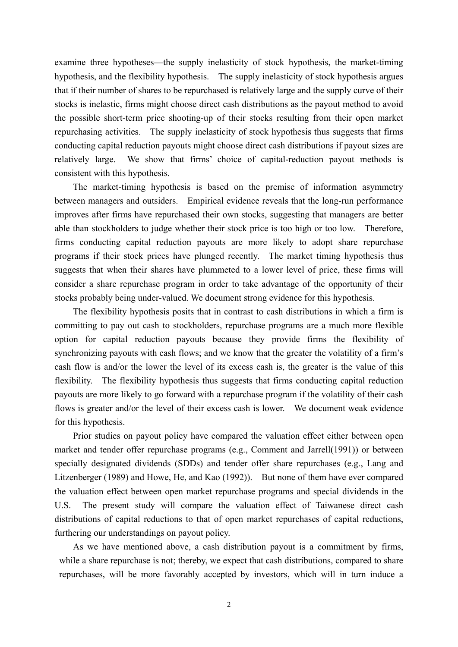examine three hypotheses—the supply inelasticity of stock hypothesis, the market-timing hypothesis, and the flexibility hypothesis. The supply inelasticity of stock hypothesis argues that if their number of shares to be repurchased is relatively large and the supply curve of their stocks is inelastic, firms might choose direct cash distributions as the payout method to avoid the possible short-term price shooting-up of their stocks resulting from their open market repurchasing activities. The supply inelasticity of stock hypothesis thus suggests that firms conducting capital reduction payouts might choose direct cash distributions if payout sizes are relatively large. We show that firms' choice of capital-reduction payout methods is consistent with this hypothesis.

The market-timing hypothesis is based on the premise of information asymmetry between managers and outsiders. Empirical evidence reveals that the long-run performance improves after firms have repurchased their own stocks, suggesting that managers are better able than stockholders to judge whether their stock price is too high or too low. Therefore, firms conducting capital reduction payouts are more likely to adopt share repurchase programs if their stock prices have plunged recently. The market timing hypothesis thus suggests that when their shares have plummeted to a lower level of price, these firms will consider a share repurchase program in order to take advantage of the opportunity of their stocks probably being under-valued. We document strong evidence for this hypothesis.

The flexibility hypothesis posits that in contrast to cash distributions in which a firm is committing to pay out cash to stockholders, repurchase programs are a much more flexible option for capital reduction payouts because they provide firms the flexibility of synchronizing payouts with cash flows; and we know that the greater the volatility of a firm's cash flow is and/or the lower the level of its excess cash is, the greater is the value of this flexibility. The flexibility hypothesis thus suggests that firms conducting capital reduction payouts are more likely to go forward with a repurchase program if the volatility of their cash flows is greater and/or the level of their excess cash is lower. We document weak evidence for this hypothesis.

Prior studies on payout policy have compared the valuation effect either between open market and tender offer repurchase programs (e.g., Comment and Jarrell(1991)) or between specially designated dividends (SDDs) and tender offer share repurchases (e.g., Lang and Litzenberger (1989) and Howe, He, and Kao (1992)). But none of them have ever compared the valuation effect between open market repurchase programs and special dividends in the U.S. The present study will compare the valuation effect of Taiwanese direct cash distributions of capital reductions to that of open market repurchases of capital reductions, furthering our understandings on payout policy.

As we have mentioned above, a cash distribution payout is a commitment by firms, while a share repurchase is not; thereby, we expect that cash distributions, compared to share repurchases, will be more favorably accepted by investors, which will in turn induce a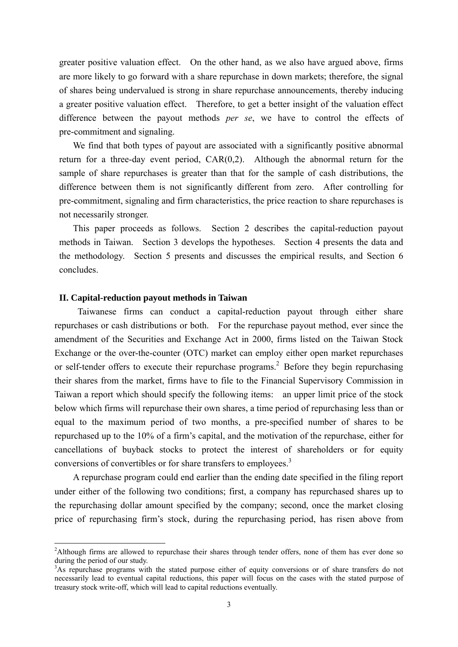greater positive valuation effect. On the other hand, as we also have argued above, firms are more likely to go forward with a share repurchase in down markets; therefore, the signal of shares being undervalued is strong in share repurchase announcements, thereby inducing a greater positive valuation effect. Therefore, to get a better insight of the valuation effect difference between the payout methods *per se*, we have to control the effects of pre-commitment and signaling.

We find that both types of payout are associated with a significantly positive abnormal return for a three-day event period, CAR(0,2). Although the abnormal return for the sample of share repurchases is greater than that for the sample of cash distributions, the difference between them is not significantly different from zero. After controlling for pre-commitment, signaling and firm characteristics, the price reaction to share repurchases is not necessarily stronger.

This paper proceeds as follows. Section 2 describes the capital-reduction payout methods in Taiwan. Section 3 develops the hypotheses. Section 4 presents the data and the methodology. Section 5 presents and discusses the empirical results, and Section 6 concludes.

#### **II. Capital-reduction payout methods in Taiwan**

<u>.</u>

Taiwanese firms can conduct a capital-reduction payout through either share repurchases or cash distributions or both. For the repurchase payout method, ever since the amendment of the Securities and Exchange Act in 2000, firms listed on the Taiwan Stock Exchange or the over-the-counter (OTC) market can employ either open market repurchases or self-tender offers to execute their repurchase programs.<sup>2</sup> Before they begin repurchasing their shares from the market, firms have to file to the Financial Supervisory Commission in Taiwan a report which should specify the following items: an upper limit price of the stock below which firms will repurchase their own shares, a time period of repurchasing less than or equal to the maximum period of two months, a pre-specified number of shares to be repurchased up to the 10% of a firm's capital, and the motivation of the repurchase, either for cancellations of buyback stocks to protect the interest of shareholders or for equity conversions of convertibles or for share transfers to employees.<sup>3</sup>

A repurchase program could end earlier than the ending date specified in the filing report under either of the following two conditions; first, a company has repurchased shares up to the repurchasing dollar amount specified by the company; second, once the market closing price of repurchasing firm's stock, during the repurchasing period, has risen above from

<sup>&</sup>lt;sup>2</sup>Although firms are allowed to repurchase their shares through tender offers, none of them has ever done so during the period of our study.

<sup>&</sup>lt;sup>3</sup>As repurchase programs with the stated purpose either of equity conversions or of share transfers do not necessarily lead to eventual capital reductions, this paper will focus on the cases with the stated purpose of treasury stock write-off, which will lead to capital reductions eventually.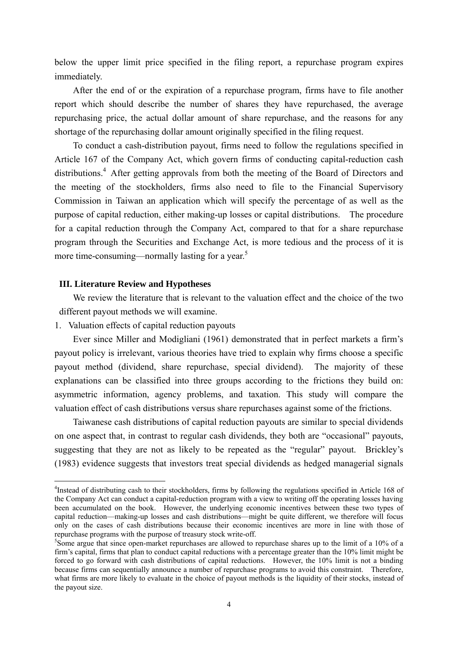below the upper limit price specified in the filing report, a repurchase program expires immediately.

After the end of or the expiration of a repurchase program, firms have to file another report which should describe the number of shares they have repurchased, the average repurchasing price, the actual dollar amount of share repurchase, and the reasons for any shortage of the repurchasing dollar amount originally specified in the filing request.

 To conduct a cash-distribution payout, firms need to follow the regulations specified in Article 167 of the Company Act, which govern firms of conducting capital-reduction cash distributions.<sup>4</sup> After getting approvals from both the meeting of the Board of Directors and the meeting of the stockholders, firms also need to file to the Financial Supervisory Commission in Taiwan an application which will specify the percentage of as well as the purpose of capital reduction, either making-up losses or capital distributions. The procedure for a capital reduction through the Company Act, compared to that for a share repurchase program through the Securities and Exchange Act, is more tedious and the process of it is more time-consuming—normally lasting for a year. $5$ 

#### **III. Literature Review and Hypotheses**

1

 We review the literature that is relevant to the valuation effect and the choice of the two different payout methods we will examine.

#### 1. Valuation effects of capital reduction payouts

Ever since Miller and Modigliani (1961) demonstrated that in perfect markets a firm's payout policy is irrelevant, various theories have tried to explain why firms choose a specific payout method (dividend, share repurchase, special dividend). The majority of these explanations can be classified into three groups according to the frictions they build on: asymmetric information, agency problems, and taxation. This study will compare the valuation effect of cash distributions versus share repurchases against some of the frictions.

Taiwanese cash distributions of capital reduction payouts are similar to special dividends on one aspect that, in contrast to regular cash dividends, they both are "occasional" payouts, suggesting that they are not as likely to be repeated as the "regular" payout. Brickley's (1983) evidence suggests that investors treat special dividends as hedged managerial signals

<sup>&</sup>lt;sup>4</sup>Instead of distributing cash to their stockholders, firms by following the regulations specified in Article 168 of the Company Act can conduct a capital-reduction program with a view to writing off the operating losses having been accumulated on the book. However, the underlying economic incentives between these two types of capital reduction—making-up losses and cash distributions—might be quite different, we therefore will focus only on the cases of cash distributions because their economic incentives are more in line with those of repurchase programs with the purpose of treasury stock write-off.

<sup>&</sup>lt;sup>5</sup>Some argue that since open-market repurchases are allowed to repurchase shares up to the limit of a 10% of a firm's capital, firms that plan to conduct capital reductions with a percentage greater than the 10% limit might be forced to go forward with cash distributions of capital reductions. However, the 10% limit is not a binding because firms can sequentially announce a number of repurchase programs to avoid this constraint. Therefore, what firms are more likely to evaluate in the choice of payout methods is the liquidity of their stocks, instead of the payout size.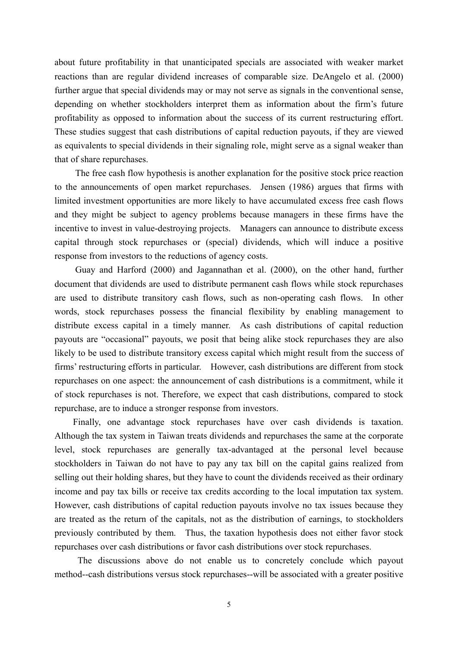about future profitability in that unanticipated specials are associated with weaker market reactions than are regular dividend increases of comparable size. DeAngelo et al. (2000) further argue that special dividends may or may not serve as signals in the conventional sense, depending on whether stockholders interpret them as information about the firm's future profitability as opposed to information about the success of its current restructuring effort. These studies suggest that cash distributions of capital reduction payouts, if they are viewed as equivalents to special dividends in their signaling role, might serve as a signal weaker than that of share repurchases.

The free cash flow hypothesis is another explanation for the positive stock price reaction to the announcements of open market repurchases. Jensen (1986) argues that firms with limited investment opportunities are more likely to have accumulated excess free cash flows and they might be subject to agency problems because managers in these firms have the incentive to invest in value-destroying projects. Managers can announce to distribute excess capital through stock repurchases or (special) dividends, which will induce a positive response from investors to the reductions of agency costs.

Guay and Harford (2000) and Jagannathan et al. (2000), on the other hand, further document that dividends are used to distribute permanent cash flows while stock repurchases are used to distribute transitory cash flows, such as non-operating cash flows. In other words, stock repurchases possess the financial flexibility by enabling management to distribute excess capital in a timely manner. As cash distributions of capital reduction payouts are "occasional" payouts, we posit that being alike stock repurchases they are also likely to be used to distribute transitory excess capital which might result from the success of firms' restructuring efforts in particular. However, cash distributions are different from stock repurchases on one aspect: the announcement of cash distributions is a commitment, while it of stock repurchases is not. Therefore, we expect that cash distributions, compared to stock repurchase, are to induce a stronger response from investors.

Finally, one advantage stock repurchases have over cash dividends is taxation. Although the tax system in Taiwan treats dividends and repurchases the same at the corporate level, stock repurchases are generally tax-advantaged at the personal level because stockholders in Taiwan do not have to pay any tax bill on the capital gains realized from selling out their holding shares, but they have to count the dividends received as their ordinary income and pay tax bills or receive tax credits according to the local imputation tax system. However, cash distributions of capital reduction payouts involve no tax issues because they are treated as the return of the capitals, not as the distribution of earnings, to stockholders previously contributed by them. Thus, the taxation hypothesis does not either favor stock repurchases over cash distributions or favor cash distributions over stock repurchases.

The discussions above do not enable us to concretely conclude which payout method--cash distributions versus stock repurchases--will be associated with a greater positive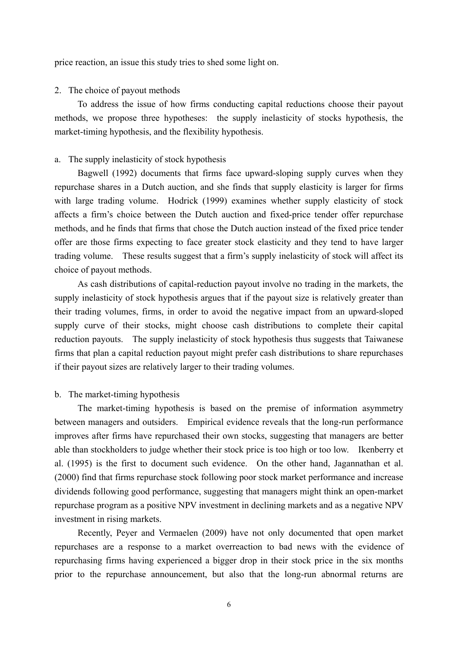price reaction, an issue this study tries to shed some light on.

#### 2. The choice of payout methods

To address the issue of how firms conducting capital reductions choose their payout methods, we propose three hypotheses: the supply inelasticity of stocks hypothesis, the market-timing hypothesis, and the flexibility hypothesis.

#### a. The supply inelasticity of stock hypothesis

Bagwell (1992) documents that firms face upward-sloping supply curves when they repurchase shares in a Dutch auction, and she finds that supply elasticity is larger for firms with large trading volume. Hodrick (1999) examines whether supply elasticity of stock affects a firm's choice between the Dutch auction and fixed-price tender offer repurchase methods, and he finds that firms that chose the Dutch auction instead of the fixed price tender offer are those firms expecting to face greater stock elasticity and they tend to have larger trading volume. These results suggest that a firm's supply inelasticity of stock will affect its choice of payout methods.

As cash distributions of capital-reduction payout involve no trading in the markets, the supply inelasticity of stock hypothesis argues that if the payout size is relatively greater than their trading volumes, firms, in order to avoid the negative impact from an upward-sloped supply curve of their stocks, might choose cash distributions to complete their capital reduction payouts. The supply inelasticity of stock hypothesis thus suggests that Taiwanese firms that plan a capital reduction payout might prefer cash distributions to share repurchases if their payout sizes are relatively larger to their trading volumes.

#### b. The market-timing hypothesis

The market-timing hypothesis is based on the premise of information asymmetry between managers and outsiders. Empirical evidence reveals that the long-run performance improves after firms have repurchased their own stocks, suggesting that managers are better able than stockholders to judge whether their stock price is too high or too low. Ikenberry et al. (1995) is the first to document such evidence. On the other hand, Jagannathan et al. (2000) find that firms repurchase stock following poor stock market performance and increase dividends following good performance, suggesting that managers might think an open-market repurchase program as a positive NPV investment in declining markets and as a negative NPV investment in rising markets.

Recently, Peyer and Vermaelen (2009) have not only documented that open market repurchases are a response to a market overreaction to bad news with the evidence of repurchasing firms having experienced a bigger drop in their stock price in the six months prior to the repurchase announcement, but also that the long-run abnormal returns are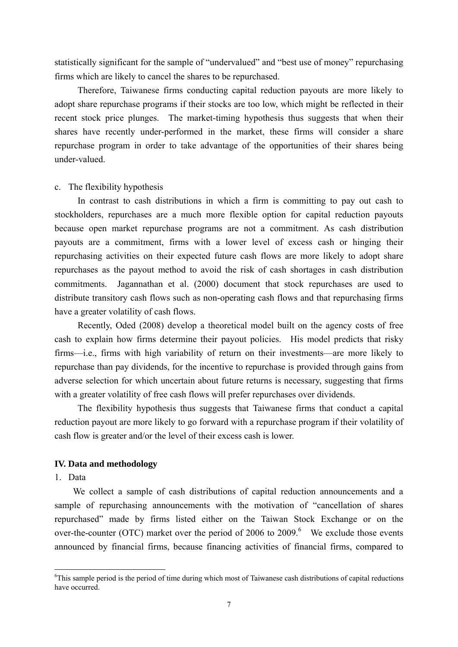statistically significant for the sample of "undervalued" and "best use of money" repurchasing firms which are likely to cancel the shares to be repurchased.

Therefore, Taiwanese firms conducting capital reduction payouts are more likely to adopt share repurchase programs if their stocks are too low, which might be reflected in their recent stock price plunges. The market-timing hypothesis thus suggests that when their shares have recently under-performed in the market, these firms will consider a share repurchase program in order to take advantage of the opportunities of their shares being under-valued.

#### c. The flexibility hypothesis

In contrast to cash distributions in which a firm is committing to pay out cash to stockholders, repurchases are a much more flexible option for capital reduction payouts because open market repurchase programs are not a commitment. As cash distribution payouts are a commitment, firms with a lower level of excess cash or hinging their repurchasing activities on their expected future cash flows are more likely to adopt share repurchases as the payout method to avoid the risk of cash shortages in cash distribution commitments. Jagannathan et al. (2000) document that stock repurchases are used to distribute transitory cash flows such as non-operating cash flows and that repurchasing firms have a greater volatility of cash flows.

Recently, Oded (2008) develop a theoretical model built on the agency costs of free cash to explain how firms determine their payout policies. His model predicts that risky firms—i.e., firms with high variability of return on their investments—are more likely to repurchase than pay dividends, for the incentive to repurchase is provided through gains from adverse selection for which uncertain about future returns is necessary, suggesting that firms with a greater volatility of free cash flows will prefer repurchases over dividends.

The flexibility hypothesis thus suggests that Taiwanese firms that conduct a capital reduction payout are more likely to go forward with a repurchase program if their volatility of cash flow is greater and/or the level of their excess cash is lower.

### **IV. Data and methodology**

### 1. Data

<u>.</u>

We collect a sample of cash distributions of capital reduction announcements and a sample of repurchasing announcements with the motivation of "cancellation of shares repurchased" made by firms listed either on the Taiwan Stock Exchange or on the over-the-counter (OTC) market over the period of 2006 to 2009. $6$  We exclude those events announced by financial firms, because financing activities of financial firms, compared to

<sup>&</sup>lt;sup>6</sup>This sample period is the period of time during which most of Taiwanese cash distributions of capital reductions have occurred.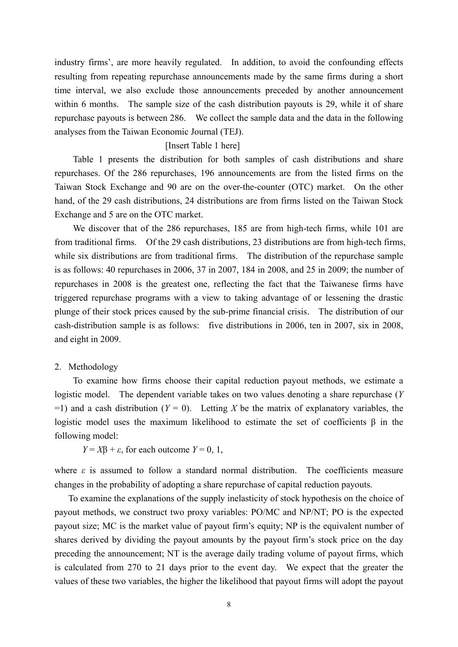industry firms', are more heavily regulated. In addition, to avoid the confounding effects resulting from repeating repurchase announcements made by the same firms during a short time interval, we also exclude those announcements preceded by another announcement within 6 months. The sample size of the cash distribution payouts is 29, while it of share repurchase payouts is between 286. We collect the sample data and the data in the following analyses from the Taiwan Economic Journal (TEJ).

### [Insert Table 1 here]

Table 1 presents the distribution for both samples of cash distributions and share repurchases. Of the 286 repurchases, 196 announcements are from the listed firms on the Taiwan Stock Exchange and 90 are on the over-the-counter (OTC) market. On the other hand, of the 29 cash distributions, 24 distributions are from firms listed on the Taiwan Stock Exchange and 5 are on the OTC market.

We discover that of the 286 repurchases, 185 are from high-tech firms, while 101 are from traditional firms. Of the 29 cash distributions, 23 distributions are from high-tech firms, while six distributions are from traditional firms. The distribution of the repurchase sample is as follows: 40 repurchases in 2006, 37 in 2007, 184 in 2008, and 25 in 2009; the number of repurchases in 2008 is the greatest one, reflecting the fact that the Taiwanese firms have triggered repurchase programs with a view to taking advantage of or lessening the drastic plunge of their stock prices caused by the sub-prime financial crisis. The distribution of our cash-distribution sample is as follows: five distributions in 2006, ten in 2007, six in 2008, and eight in 2009.

#### 2. Methodology

To examine how firms choose their capital reduction payout methods, we estimate a logistic model. The dependent variable takes on two values denoting a share repurchase (*Y*  $=1$ ) and a cash distribution (*Y* = 0). Letting *X* be the matrix of explanatory variables, the logistic model uses the maximum likelihood to estimate the set of coefficients β in the following model:

 $Y = XB + \varepsilon$ , for each outcome  $Y = 0, 1$ ,

where *ε* is assumed to follow a standard normal distribution. The coefficients measure changes in the probability of adopting a share repurchase of capital reduction payouts.

 To examine the explanations of the supply inelasticity of stock hypothesis on the choice of payout methods, we construct two proxy variables: PO/MC and NP/NT; PO is the expected payout size; MC is the market value of payout firm's equity; NP is the equivalent number of shares derived by dividing the payout amounts by the payout firm's stock price on the day preceding the announcement; NT is the average daily trading volume of payout firms, which is calculated from 270 to 21 days prior to the event day. We expect that the greater the values of these two variables, the higher the likelihood that payout firms will adopt the payout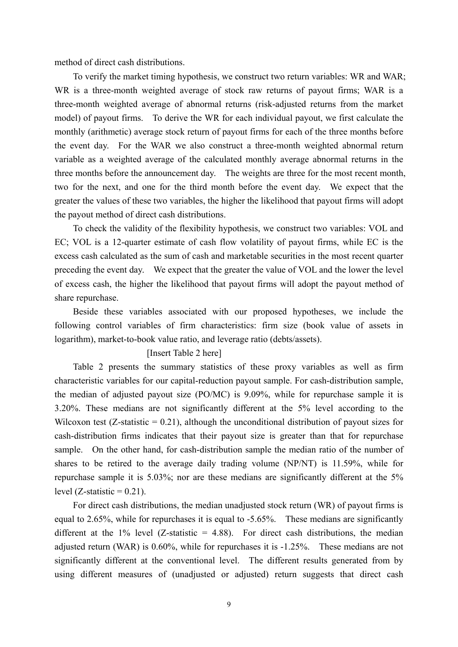method of direct cash distributions.

To verify the market timing hypothesis, we construct two return variables: WR and WAR; WR is a three-month weighted average of stock raw returns of payout firms; WAR is a three-month weighted average of abnormal returns (risk-adjusted returns from the market model) of payout firms. To derive the WR for each individual payout, we first calculate the monthly (arithmetic) average stock return of payout firms for each of the three months before the event day. For the WAR we also construct a three-month weighted abnormal return variable as a weighted average of the calculated monthly average abnormal returns in the three months before the announcement day. The weights are three for the most recent month, two for the next, and one for the third month before the event day. We expect that the greater the values of these two variables, the higher the likelihood that payout firms will adopt the payout method of direct cash distributions.

 To check the validity of the flexibility hypothesis, we construct two variables: VOL and EC; VOL is a 12-quarter estimate of cash flow volatility of payout firms, while EC is the excess cash calculated as the sum of cash and marketable securities in the most recent quarter preceding the event day. We expect that the greater the value of VOL and the lower the level of excess cash, the higher the likelihood that payout firms will adopt the payout method of share repurchase.

Beside these variables associated with our proposed hypotheses, we include the following control variables of firm characteristics: firm size (book value of assets in logarithm), market-to-book value ratio, and leverage ratio (debts/assets).

#### [Insert Table 2 here]

 Table 2 presents the summary statistics of these proxy variables as well as firm characteristic variables for our capital-reduction payout sample. For cash-distribution sample, the median of adjusted payout size (PO/MC) is 9.09%, while for repurchase sample it is 3.20%. These medians are not significantly different at the 5% level according to the Wilcoxon test ( $\text{Z-statistic} = 0.21$ ), although the unconditional distribution of payout sizes for cash-distribution firms indicates that their payout size is greater than that for repurchase sample. On the other hand, for cash-distribution sample the median ratio of the number of shares to be retired to the average daily trading volume (NP/NT) is 11.59%, while for repurchase sample it is 5.03%; nor are these medians are significantly different at the 5% level ( $Z$ -statistic = 0.21).

 For direct cash distributions, the median unadjusted stock return (WR) of payout firms is equal to 2.65%, while for repurchases it is equal to -5.65%. These medians are significantly different at the  $1\%$  level (Z-statistic = 4.88). For direct cash distributions, the median adjusted return (WAR) is 0.60%, while for repurchases it is -1.25%. These medians are not significantly different at the conventional level. The different results generated from by using different measures of (unadjusted or adjusted) return suggests that direct cash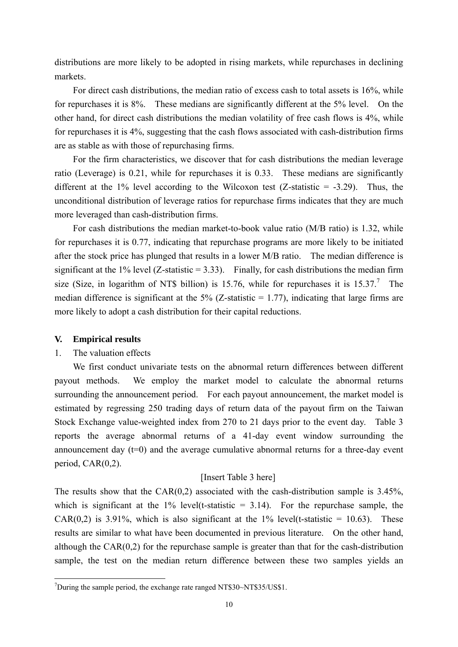distributions are more likely to be adopted in rising markets, while repurchases in declining markets.

 For direct cash distributions, the median ratio of excess cash to total assets is 16%, while for repurchases it is 8%. These medians are significantly different at the 5% level. On the other hand, for direct cash distributions the median volatility of free cash flows is 4%, while for repurchases it is 4%, suggesting that the cash flows associated with cash-distribution firms are as stable as with those of repurchasing firms.

For the firm characteristics, we discover that for cash distributions the median leverage ratio (Leverage) is 0.21, while for repurchases it is 0.33. These medians are significantly different at the 1% level according to the Wilcoxon test (Z-statistic  $= -3.29$ ). Thus, the unconditional distribution of leverage ratios for repurchase firms indicates that they are much more leveraged than cash-distribution firms.

 For cash distributions the median market-to-book value ratio (M/B ratio) is 1.32, while for repurchases it is 0.77, indicating that repurchase programs are more likely to be initiated after the stock price has plunged that results in a lower M/B ratio. The median difference is significant at the 1% level (Z-statistic  $= 3.33$ ). Finally, for cash distributions the median firm size (Size, in logarithm of NT\$ billion) is 15.76, while for repurchases it is  $15.37$ .<sup>7</sup> The median difference is significant at the 5% (Z-statistic  $= 1.77$ ), indicating that large firms are more likely to adopt a cash distribution for their capital reductions.

#### **V. Empirical results**

1

#### 1. The valuation effects

We first conduct univariate tests on the abnormal return differences between different payout methods. We employ the market model to calculate the abnormal returns surrounding the announcement period. For each payout announcement, the market model is estimated by regressing 250 trading days of return data of the payout firm on the Taiwan Stock Exchange value-weighted index from 270 to 21 days prior to the event day. Table 3 reports the average abnormal returns of a 41-day event window surrounding the announcement day  $(t=0)$  and the average cumulative abnormal returns for a three-day event period,  $CAR(0,2)$ .

#### [Insert Table 3 here]

The results show that the  $CAR(0,2)$  associated with the cash-distribution sample is 3.45%, which is significant at the  $1\%$  level(t-statistic = 3.14). For the repurchase sample, the CAR(0,2) is 3.91%, which is also significant at the 1% level(t-statistic = 10.63). These results are similar to what have been documented in previous literature. On the other hand, although the CAR(0,2) for the repurchase sample is greater than that for the cash-distribution sample, the test on the median return difference between these two samples yields an

<sup>&</sup>lt;sup>7</sup>During the sample period, the exchange rate ranged NT\$30~NT\$35/US\$1.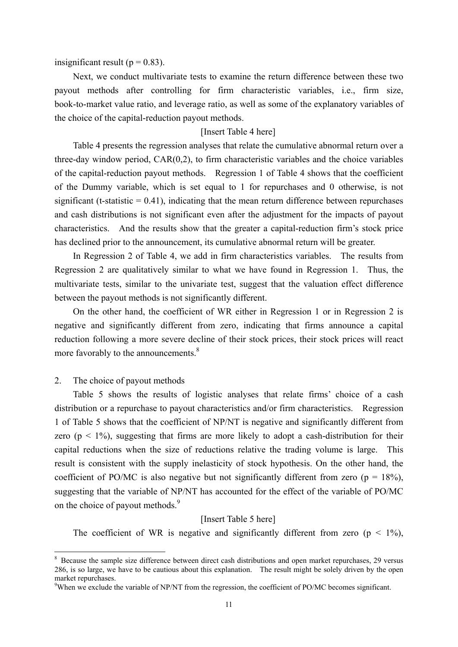insignificant result ( $p = 0.83$ ).

Next, we conduct multivariate tests to examine the return difference between these two payout methods after controlling for firm characteristic variables, i.e., firm size, book-to-market value ratio, and leverage ratio, as well as some of the explanatory variables of the choice of the capital-reduction payout methods.

### [Insert Table 4 here]

Table 4 presents the regression analyses that relate the cumulative abnormal return over a three-day window period, CAR(0,2), to firm characteristic variables and the choice variables of the capital-reduction payout methods. Regression 1 of Table 4 shows that the coefficient of the Dummy variable, which is set equal to 1 for repurchases and 0 otherwise, is not significant (t-statistic  $= 0.41$ ), indicating that the mean return difference between repurchases and cash distributions is not significant even after the adjustment for the impacts of payout characteristics. And the results show that the greater a capital-reduction firm's stock price has declined prior to the announcement, its cumulative abnormal return will be greater.

In Regression 2 of Table 4, we add in firm characteristics variables. The results from Regression 2 are qualitatively similar to what we have found in Regression 1. Thus, the multivariate tests, similar to the univariate test, suggest that the valuation effect difference between the payout methods is not significantly different.

 On the other hand, the coefficient of WR either in Regression 1 or in Regression 2 is negative and significantly different from zero, indicating that firms announce a capital reduction following a more severe decline of their stock prices, their stock prices will react more favorably to the announcements.<sup>8</sup>

#### 2. The choice of payout methods

1

Table 5 shows the results of logistic analyses that relate firms' choice of a cash distribution or a repurchase to payout characteristics and/or firm characteristics. Regression 1 of Table 5 shows that the coefficient of NP/NT is negative and significantly different from zero ( $p < 1\%$ ), suggesting that firms are more likely to adopt a cash-distribution for their capital reductions when the size of reductions relative the trading volume is large. This result is consistent with the supply inelasticity of stock hypothesis. On the other hand, the coefficient of PO/MC is also negative but not significantly different from zero ( $p = 18\%$ ), suggesting that the variable of NP/NT has accounted for the effect of the variable of PO/MC on the choice of payout methods.<sup>9</sup>

#### [Insert Table 5 here]

The coefficient of WR is negative and significantly different from zero ( $p < 1\%$ ),

<sup>&</sup>lt;sup>8</sup> Because the sample size difference between direct cash distributions and open market repurchases, 29 versus 286, is so large, we have to be cautious about this explanation. The result might be solely driven by the open market repurchases.

<sup>&</sup>lt;sup>9</sup>When we exclude the variable of NP/NT from the regression, the coefficient of PO/MC becomes significant.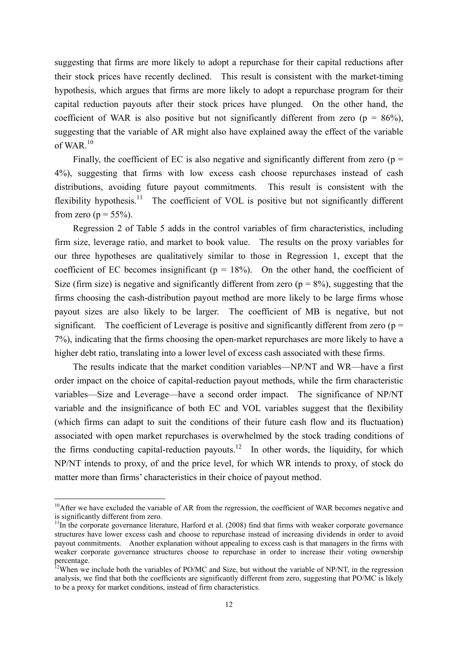suggesting that firms are more likely to adopt a repurchase for their capital reductions after their stock prices have recently declined. This result is consistent with the market-timing hypothesis, which argues that firms are more likely to adopt a repurchase program for their capital reduction payouts after their stock prices have plunged. On the other hand, the coefficient of WAR is also positive but not significantly different from zero ( $p = 86\%$ ), suggesting that the variable of AR might also have explained away the effect of the variable of WAR $10$ 

Finally, the coefficient of EC is also negative and significantly different from zero ( $p =$ 4%), suggesting that firms with low excess cash choose repurchases instead of cash distributions, avoiding future payout commitments. This result is consistent with the flexibility hypothesis.<sup>11</sup> The coefficient of VOL is positive but not significantly different from zero ( $p = 55\%$ ).

 Regression 2 of Table 5 adds in the control variables of firm characteristics, including firm size, leverage ratio, and market to book value. The results on the proxy variables for our three hypotheses are qualitatively similar to those in Regression 1, except that the coefficient of EC becomes insignificant ( $p = 18\%$ ). On the other hand, the coefficient of Size (firm size) is negative and significantly different from zero  $(p = 8\%)$ , suggesting that the firms choosing the cash-distribution payout method are more likely to be large firms whose payout sizes are also likely to be larger. The coefficient of MB is negative, but not significant. The coefficient of Leverage is positive and significantly different from zero ( $p =$ 7%), indicating that the firms choosing the open-market repurchases are more likely to have a higher debt ratio, translating into a lower level of excess cash associated with these firms.

The results indicate that the market condition variables—NP/NT and WR—have a first order impact on the choice of capital-reduction payout methods, while the firm characteristic variables—Size and Leverage—have a second order impact. The significance of NP/NT variable and the insignificance of both EC and VOL variables suggest that the flexibility (which firms can adapt to suit the conditions of their future cash flow and its fluctuation) associated with open market repurchases is overwhelmed by the stock trading conditions of the firms conducting capital-reduction payouts.<sup>12</sup> In other words, the liquidity, for which NP/NT intends to proxy, of and the price level, for which WR intends to proxy, of stock do matter more than firms' characteristics in their choice of payout method.

1

 $10$ After we have excluded the variable of AR from the regression, the coefficient of WAR becomes negative and is significantly different from zero.

<sup>&</sup>lt;sup>11</sup>In the corporate governance literature, Harford et al. (2008) find that firms with weaker corporate governance structures have lower excess cash and choose to repurchase instead of increasing dividends in order to avoid payout commitments. Another explanation without appealing to excess cash is that managers in the firms with weaker corporate governance structures choose to repurchase in order to increase their voting ownership percentage.

<sup>&</sup>lt;sup>12</sup>When we include both the variables of PO/MC and Size, but without the variable of NP/NT, in the regression analysis, we find that both the coefficients are significantly different from zero, suggesting that PO/MC is likely to be a proxy for market conditions, instead of firm characteristics.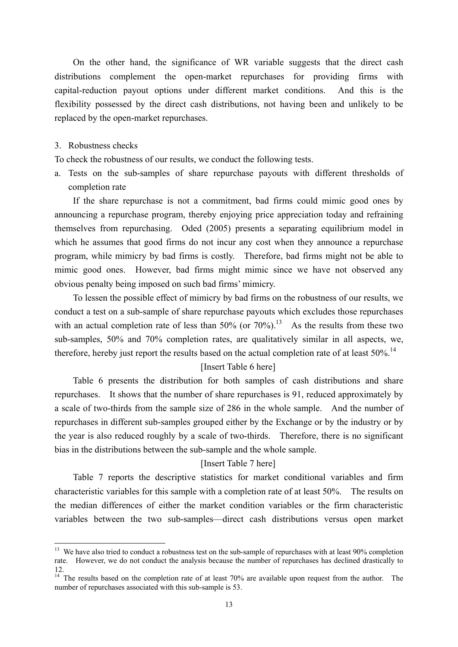On the other hand, the significance of WR variable suggests that the direct cash distributions complement the open-market repurchases for providing firms with capital-reduction payout options under different market conditions. And this is the flexibility possessed by the direct cash distributions, not having been and unlikely to be replaced by the open-market repurchases.

#### 3. Robustness checks

<u>.</u>

To check the robustness of our results, we conduct the following tests.

a. Tests on the sub-samples of share repurchase payouts with different thresholds of completion rate

If the share repurchase is not a commitment, bad firms could mimic good ones by announcing a repurchase program, thereby enjoying price appreciation today and refraining themselves from repurchasing. Oded (2005) presents a separating equilibrium model in which he assumes that good firms do not incur any cost when they announce a repurchase program, while mimicry by bad firms is costly. Therefore, bad firms might not be able to mimic good ones. However, bad firms might mimic since we have not observed any obvious penalty being imposed on such bad firms' mimicry.

To lessen the possible effect of mimicry by bad firms on the robustness of our results, we conduct a test on a sub-sample of share repurchase payouts which excludes those repurchases with an actual completion rate of less than  $50\%$  (or  $70\%$ ).<sup>13</sup> As the results from these two sub-samples, 50% and 70% completion rates, are qualitatively similar in all aspects, we, therefore, hereby just report the results based on the actual completion rate of at least  $50\%$ .<sup>14</sup>

### [Insert Table 6 here]

Table 6 presents the distribution for both samples of cash distributions and share repurchases. It shows that the number of share repurchases is 91, reduced approximately by a scale of two-thirds from the sample size of 286 in the whole sample. And the number of repurchases in different sub-samples grouped either by the Exchange or by the industry or by the year is also reduced roughly by a scale of two-thirds. Therefore, there is no significant bias in the distributions between the sub-sample and the whole sample.

### [Insert Table 7 here]

Table 7 reports the descriptive statistics for market conditional variables and firm characteristic variables for this sample with a completion rate of at least 50%. The results on the median differences of either the market condition variables or the firm characteristic variables between the two sub-samples—direct cash distributions versus open market

<sup>&</sup>lt;sup>13</sup> We have also tried to conduct a robustness test on the sub-sample of repurchases with at least 90% completion rate. However, we do not conduct the analysis because the number of repurchases has declined drastically to 12.

<sup>&</sup>lt;sup>14</sup> The results based on the completion rate of at least 70% are available upon request from the author. The number of repurchases associated with this sub-sample is 53.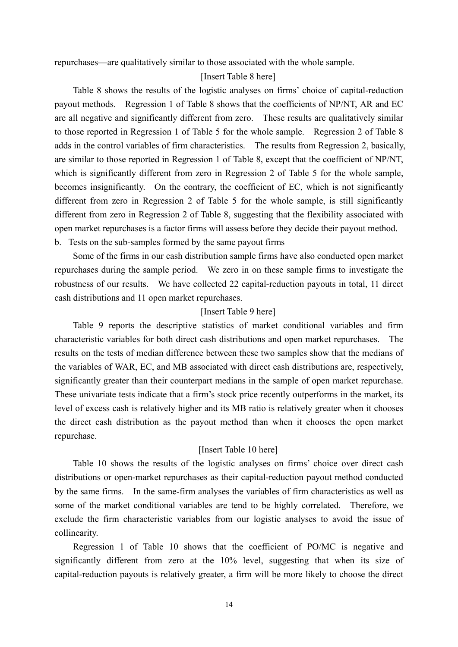repurchases—are qualitatively similar to those associated with the whole sample.

#### [Insert Table 8 here]

 Table 8 shows the results of the logistic analyses on firms' choice of capital-reduction payout methods. Regression 1 of Table 8 shows that the coefficients of NP/NT, AR and EC are all negative and significantly different from zero. These results are qualitatively similar to those reported in Regression 1 of Table 5 for the whole sample. Regression 2 of Table 8 adds in the control variables of firm characteristics. The results from Regression 2, basically, are similar to those reported in Regression 1 of Table 8, except that the coefficient of NP/NT, which is significantly different from zero in Regression 2 of Table 5 for the whole sample, becomes insignificantly. On the contrary, the coefficient of EC, which is not significantly different from zero in Regression 2 of Table 5 for the whole sample, is still significantly different from zero in Regression 2 of Table 8, suggesting that the flexibility associated with open market repurchases is a factor firms will assess before they decide their payout method. b. Tests on the sub-samples formed by the same payout firms

Some of the firms in our cash distribution sample firms have also conducted open market repurchases during the sample period. We zero in on these sample firms to investigate the robustness of our results. We have collected 22 capital-reduction payouts in total, 11 direct cash distributions and 11 open market repurchases.

#### [Insert Table 9 here]

Table 9 reports the descriptive statistics of market conditional variables and firm characteristic variables for both direct cash distributions and open market repurchases. The results on the tests of median difference between these two samples show that the medians of the variables of WAR, EC, and MB associated with direct cash distributions are, respectively, significantly greater than their counterpart medians in the sample of open market repurchase. These univariate tests indicate that a firm's stock price recently outperforms in the market, its level of excess cash is relatively higher and its MB ratio is relatively greater when it chooses the direct cash distribution as the payout method than when it chooses the open market repurchase.

#### [Insert Table 10 here]

Table 10 shows the results of the logistic analyses on firms' choice over direct cash distributions or open-market repurchases as their capital-reduction payout method conducted by the same firms. In the same-firm analyses the variables of firm characteristics as well as some of the market conditional variables are tend to be highly correlated. Therefore, we exclude the firm characteristic variables from our logistic analyses to avoid the issue of collinearity.

Regression 1 of Table 10 shows that the coefficient of PO/MC is negative and significantly different from zero at the 10% level, suggesting that when its size of capital-reduction payouts is relatively greater, a firm will be more likely to choose the direct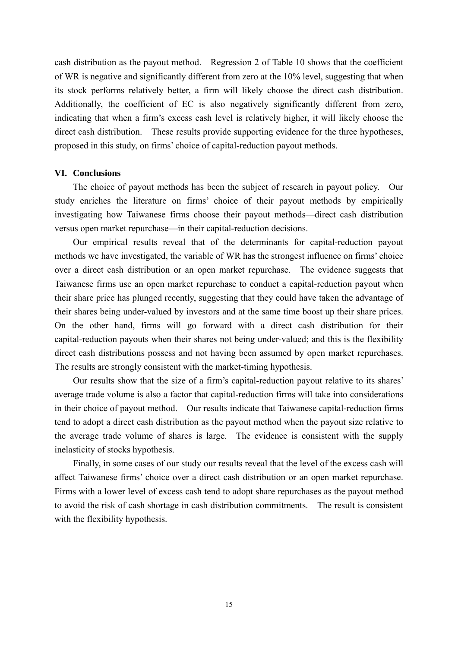cash distribution as the payout method. Regression 2 of Table 10 shows that the coefficient of WR is negative and significantly different from zero at the 10% level, suggesting that when its stock performs relatively better, a firm will likely choose the direct cash distribution. Additionally, the coefficient of EC is also negatively significantly different from zero, indicating that when a firm's excess cash level is relatively higher, it will likely choose the direct cash distribution. These results provide supporting evidence for the three hypotheses, proposed in this study, on firms' choice of capital-reduction payout methods.

#### **VI. Conclusions**

 The choice of payout methods has been the subject of research in payout policy. Our study enriches the literature on firms' choice of their payout methods by empirically investigating how Taiwanese firms choose their payout methods—direct cash distribution versus open market repurchase—in their capital-reduction decisions.

 Our empirical results reveal that of the determinants for capital-reduction payout methods we have investigated, the variable of WR has the strongest influence on firms' choice over a direct cash distribution or an open market repurchase. The evidence suggests that Taiwanese firms use an open market repurchase to conduct a capital-reduction payout when their share price has plunged recently, suggesting that they could have taken the advantage of their shares being under-valued by investors and at the same time boost up their share prices. On the other hand, firms will go forward with a direct cash distribution for their capital-reduction payouts when their shares not being under-valued; and this is the flexibility direct cash distributions possess and not having been assumed by open market repurchases. The results are strongly consistent with the market-timing hypothesis.

 Our results show that the size of a firm's capital-reduction payout relative to its shares' average trade volume is also a factor that capital-reduction firms will take into considerations in their choice of payout method. Our results indicate that Taiwanese capital-reduction firms tend to adopt a direct cash distribution as the payout method when the payout size relative to the average trade volume of shares is large. The evidence is consistent with the supply inelasticity of stocks hypothesis.

 Finally, in some cases of our study our results reveal that the level of the excess cash will affect Taiwanese firms' choice over a direct cash distribution or an open market repurchase. Firms with a lower level of excess cash tend to adopt share repurchases as the payout method to avoid the risk of cash shortage in cash distribution commitments. The result is consistent with the flexibility hypothesis.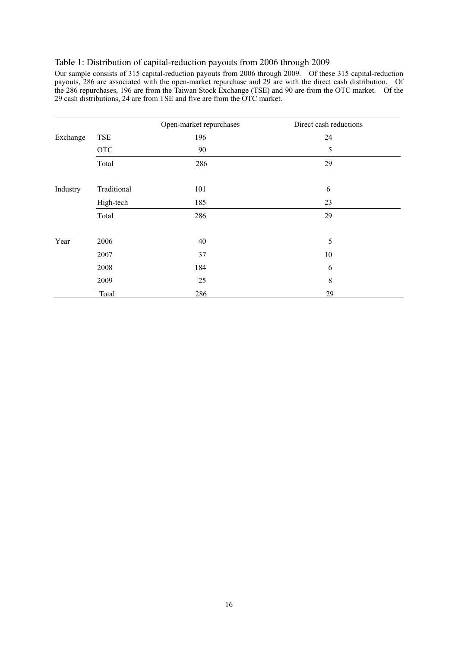#### Table 1: Distribution of capital-reduction payouts from 2006 through 2009

Our sample consists of 315 capital-reduction payouts from 2006 through 2009. Of these 315 capital-reduction payouts, 286 are associated with the open-market repurchase and 29 are with the direct cash distribution. Of the 286 repurchases, 196 are from the Taiwan Stock Exchange (TSE) and 90 are from the OTC market. Of the 29 cash distributions, 24 are from TSE and five are from the OTC market.

|          |             | Open-market repurchases | Direct cash reductions |
|----------|-------------|-------------------------|------------------------|
| Exchange | <b>TSE</b>  | 196                     | 24                     |
|          | <b>OTC</b>  | 90                      | 5                      |
|          | Total       | 286                     | 29                     |
| Industry | Traditional | 101                     | 6                      |
|          | High-tech   | 185                     | 23                     |
|          | Total       | 286                     | 29                     |
| Year     | 2006        | 40                      | 5                      |
|          | 2007        | 37                      | 10                     |
|          | 2008        | 184                     | 6                      |
|          | 2009        | 25                      | 8                      |
|          | Total       | 286                     | 29                     |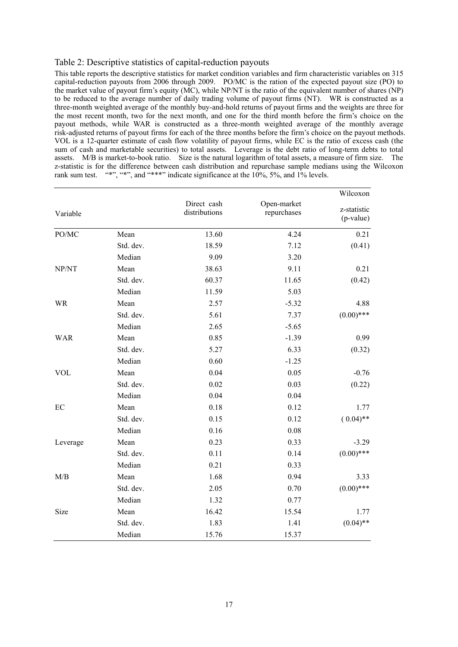#### Table 2: Descriptive statistics of capital-reduction payouts

This table reports the descriptive statistics for market condition variables and firm characteristic variables on 315 capital-reduction payouts from 2006 through 2009. PO/MC is the ration of the expected payout size (PO) to the market value of payout firm's equity (MC), while NP/NT is the ratio of the equivalent number of shares (NP) to be reduced to the average number of daily trading volume of payout firms (NT). WR is constructed as a three-month weighted average of the monthly buy-and-hold returns of payout firms and the weights are three for the most recent month, two for the next month, and one for the third month before the firm's choice on the payout methods, while WAR is constructed as a three-month weighted average of the monthly average risk-adjusted returns of payout firms for each of the three months before the firm's choice on the payout methods. VOL is a 12-quarter estimate of cash flow volatility of payout firms, while EC is the ratio of excess cash (the sum of cash and marketable securities) to total assets. Leverage is the debt ratio of long-term debts to total assets. M/B is market-to-book ratio. Size is the natural logarithm of total assets, a measure of firm size. The z-statistic is for the difference between cash distribution and repurchase sample medians using the Wilcoxon rank sum test. "\*", "\*", and "\*\*\*" indicate significance at the  $10\%$ , 5%, and  $1\%$  levels.

|            |           |                              |                            | Wilcoxon                 |
|------------|-----------|------------------------------|----------------------------|--------------------------|
| Variable   |           | Direct cash<br>distributions | Open-market<br>repurchases | z-statistic<br>(p-value) |
| PO/MC      | Mean      | 13.60                        | 4.24                       | 0.21                     |
|            | Std. dev. | 18.59                        | 7.12                       | (0.41)                   |
|            | Median    | 9.09                         | 3.20                       |                          |
| NP/NT      | Mean      | 38.63                        | 9.11                       | 0.21                     |
|            | Std. dev. | 60.37                        | 11.65                      | (0.42)                   |
|            | Median    | 11.59                        | 5.03                       |                          |
| <b>WR</b>  | Mean      | 2.57                         | $-5.32$                    | 4.88                     |
|            | Std. dev. | 5.61                         | 7.37                       | $(0.00)$ ***             |
|            | Median    | 2.65                         | $-5.65$                    |                          |
| <b>WAR</b> | Mean      | 0.85                         | $-1.39$                    | 0.99                     |
|            | Std. dev. | 5.27                         | 6.33                       | (0.32)                   |
|            | Median    | 0.60                         | $-1.25$                    |                          |
| <b>VOL</b> | Mean      | 0.04                         | 0.05                       | $-0.76$                  |
|            | Std. dev. | 0.02                         | 0.03                       | (0.22)                   |
|            | Median    | 0.04                         | 0.04                       |                          |
| EC         | Mean      | 0.18                         | 0.12                       | 1.77                     |
|            | Std. dev. | 0.15                         | 0.12                       | $(0.04)$ **              |
|            | Median    | 0.16                         | 0.08                       |                          |
| Leverage   | Mean      | 0.23                         | 0.33                       | $-3.29$                  |
|            | Std. dev. | 0.11                         | 0.14                       | $(0.00)$ ***             |
|            | Median    | 0.21                         | 0.33                       |                          |
| M/B        | Mean      | 1.68                         | 0.94                       | 3.33                     |
|            | Std. dev. | 2.05                         | 0.70                       | $(0.00)$ ***             |
|            | Median    | 1.32                         | 0.77                       |                          |
| Size       | Mean      | 16.42                        | 15.54                      | 1.77                     |
|            | Std. dev. | 1.83                         | 1.41                       | $(0.04)$ **              |
|            | Median    | 15.76                        | 15.37                      |                          |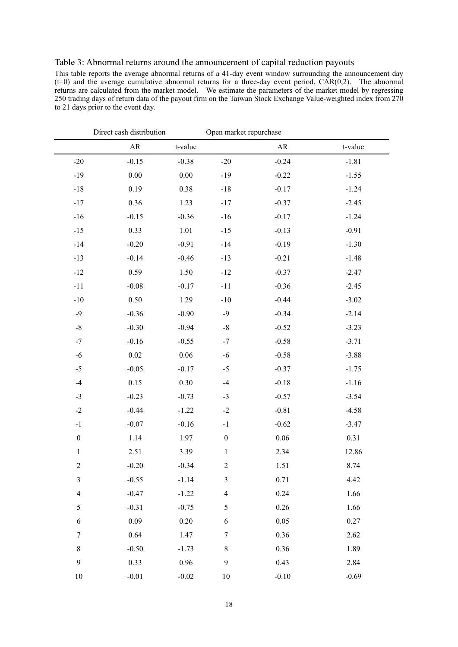|  | Table 3: Abnormal returns around the announcement of capital reduction payouts |  |  |
|--|--------------------------------------------------------------------------------|--|--|
|  |                                                                                |  |  |

This table reports the average abnormal returns of a 41-day event window surrounding the announcement day  $(t=0)$  and the average cumulative abnormal returns for a three-day event period,  $CAR(0,2)$ . The abnormal returns are calculated from the market model. We estimate the parameters of the market model by regressing 250 trading days of return data of the payout firm on the Taiwan Stock Exchange Value-weighted index from 270 to 21 days prior to the event day.

|                         | Direct cash distribution |          | Open market repurchase  |            |         |
|-------------------------|--------------------------|----------|-------------------------|------------|---------|
|                         | ${\sf AR}$               | t-value  |                         | ${\sf AR}$ | t-value |
| $-20$                   | $-0.15$                  | $-0.38$  | $-20$                   | $-0.24$    | $-1.81$ |
| $-19$                   | $0.00\,$                 | $0.00\,$ | $-19$                   | $-0.22$    | $-1.55$ |
| $-18$                   | 0.19                     | 0.38     | $-18$                   | $-0.17$    | $-1.24$ |
| $-17$                   | 0.36                     | 1.23     | $-17$                   | $-0.37$    | $-2.45$ |
| $-16$                   | $-0.15$                  | $-0.36$  | $-16$                   | $-0.17$    | $-1.24$ |
| $-15$                   | 0.33                     | 1.01     | $-15$                   | $-0.13$    | $-0.91$ |
| $-14$                   | $-0.20$                  | $-0.91$  | $-14$                   | $-0.19$    | $-1.30$ |
| $-13$                   | $-0.14$                  | $-0.46$  | $-13$                   | $-0.21$    | $-1.48$ |
| $-12$                   | 0.59                     | 1.50     | $-12$                   | $-0.37$    | $-2.47$ |
| $-11$                   | $-0.08$                  | $-0.17$  | $-11$                   | $-0.36$    | $-2.45$ |
| $-10$                   | 0.50                     | 1.29     | $-10$                   | $-0.44$    | $-3.02$ |
| $-9$                    | $-0.36$                  | $-0.90$  | $-9$                    | $-0.34$    | $-2.14$ |
| $\mbox{-}8$             | $-0.30$                  | $-0.94$  | $-8$                    | $-0.52$    | $-3.23$ |
| $-7$                    | $-0.16$                  | $-0.55$  | $-7$                    | $-0.58$    | $-3.71$ |
| $-6$                    | $0.02\,$                 | 0.06     | $-6$                    | $-0.58$    | $-3.88$ |
| $-5$                    | $-0.05$                  | $-0.17$  | $-5$                    | $-0.37$    | $-1.75$ |
| $-4$                    | 0.15                     | 0.30     | $-4$                    | $-0.18$    | $-1.16$ |
| $-3$                    | $-0.23$                  | $-0.73$  | $-3$                    | $-0.57$    | $-3.54$ |
| $-2$                    | $-0.44$                  | $-1.22$  | $-2$                    | $-0.81$    | $-4.58$ |
| $-1$                    | $-0.07$                  | $-0.16$  | $-1$                    | $-0.62$    | $-3.47$ |
| $\boldsymbol{0}$        | 1.14                     | 1.97     | $\boldsymbol{0}$        | $0.06\,$   | 0.31    |
| $\mathbf{1}$            | 2.51                     | 3.39     | $\,1\,$                 | 2.34       | 12.86   |
| $\overline{\mathbf{c}}$ | $-0.20$                  | $-0.34$  | $\overline{c}$          | 1.51       | 8.74    |
| $\mathfrak{Z}$          | $-0.55$                  | $-1.14$  | $\mathfrak{Z}$          | 0.71       | 4.42    |
| $\overline{4}$          | $-0.47$                  | $-1.22$  | $\overline{\mathbf{4}}$ | 0.24       | 1.66    |
| $\mathfrak s$           | $-0.31$                  | $-0.75$  | 5                       | 0.26       | 1.66    |
| $\sqrt{6}$              | 0.09                     | 0.20     | 6                       | 0.05       | 0.27    |
| $\boldsymbol{7}$        | 0.64                     | 1.47     | $\boldsymbol{7}$        | 0.36       | 2.62    |
| $8\,$                   | $-0.50$                  | $-1.73$  | $8\,$                   | 0.36       | 1.89    |
| $\mathbf{9}$            | 0.33                     | 0.96     | $\mathbf{9}$            | 0.43       | 2.84    |
| $10\,$                  | $-0.01$                  | $-0.02$  | 10                      | $-0.10$    | $-0.69$ |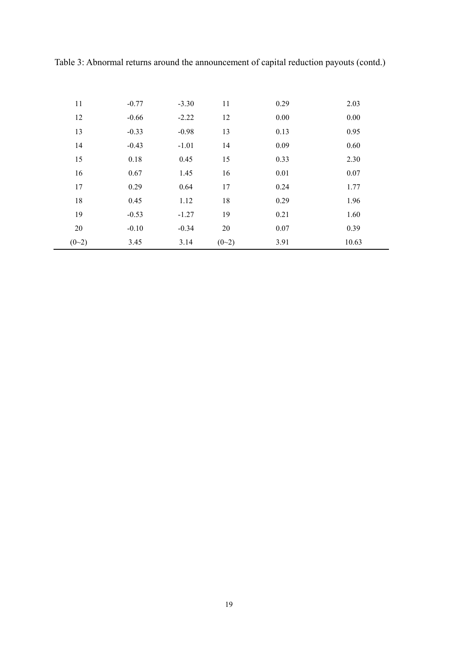| 11      | $-0.77$ | $-3.30$ | 11      | 0.29 | 2.03  |
|---------|---------|---------|---------|------|-------|
| 12      | $-0.66$ | $-2.22$ | 12      | 0.00 | 0.00  |
| 13      | $-0.33$ | $-0.98$ | 13      | 0.13 | 0.95  |
| 14      | $-0.43$ | $-1.01$ | 14      | 0.09 | 0.60  |
| 15      | 0.18    | 0.45    | 15      | 0.33 | 2.30  |
| 16      | 0.67    | 1.45    | 16      | 0.01 | 0.07  |
| 17      | 0.29    | 0.64    | 17      | 0.24 | 1.77  |
| 18      | 0.45    | 1.12    | 18      | 0.29 | 1.96  |
| 19      | $-0.53$ | $-1.27$ | 19      | 0.21 | 1.60  |
| 20      | $-0.10$ | $-0.34$ | 20      | 0.07 | 0.39  |
| $(0-2)$ | 3.45    | 3.14    | $(0-2)$ | 3.91 | 10.63 |

Table 3: Abnormal returns around the announcement of capital reduction payouts (contd.)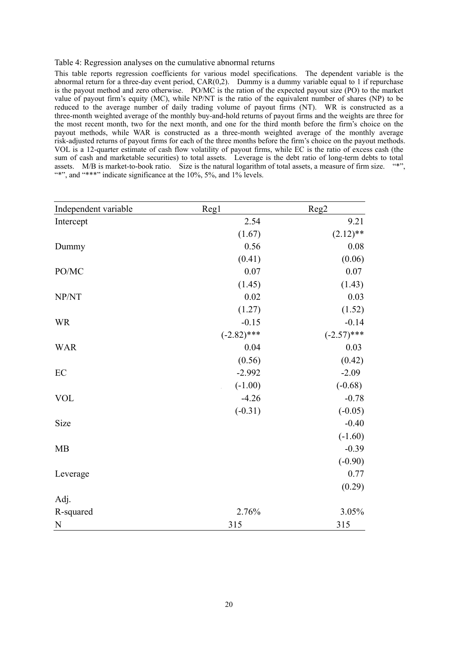#### Table 4: Regression analyses on the cumulative abnormal returns

This table reports regression coefficients for various model specifications. The dependent variable is the abnormal return for a three-day event period,  $CAR(0,2)$ . Dummy is a dummy variable equal to 1 if repurchase is the payout method and zero otherwise. PO/MC is the ration of the expected payout size (PO) to the market value of payout firm's equity (MC), while NP/NT is the ratio of the equivalent number of shares (NP) to be reduced to the average number of daily trading volume of payout firms (NT). WR is constructed as a three-month weighted average of the monthly buy-and-hold returns of payout firms and the weights are three for the most recent month, two for the next month, and one for the third month before the firm's choice on the payout methods, while WAR is constructed as a three-month weighted average of the monthly average risk-adjusted returns of payout firms for each of the three months before the firm's choice on the payout methods. VOL is a 12-quarter estimate of cash flow volatility of payout firms, while EC is the ratio of excess cash (the sum of cash and marketable securities) to total assets. Leverage is the debt ratio of long-term debts to total assets. M/B is market-to-book ratio. Size is the natural logarithm of total assets, a measure of firm size. "\*", "\*", and "\*\*\*" indicate significance at the 10%, 5%, and 1% levels.

| Independent variable | Reg1          | Reg <sub>2</sub> |
|----------------------|---------------|------------------|
| Intercept            | 2.54          | 9.21             |
|                      | (1.67)        | $(2.12)$ **      |
| Dummy                | 0.56          | 0.08             |
|                      | (0.41)        | (0.06)           |
| PO/MC                | 0.07          | 0.07             |
|                      | (1.45)        | (1.43)           |
| NP/NT                | 0.02          | 0.03             |
|                      | (1.27)        | (1.52)           |
| <b>WR</b>            | $-0.15$       | $-0.14$          |
|                      | $(-2.82)$ *** | $(-2.57)$ ***    |
| <b>WAR</b>           | 0.04          | 0.03             |
|                      | (0.56)        | (0.42)           |
| $\rm EC$             | $-2.992$      | $-2.09$          |
|                      | $(-1.00)$     | $(-0.68)$        |
| <b>VOL</b>           | $-4.26$       | $-0.78$          |
|                      | $(-0.31)$     | $(-0.05)$        |
| Size                 |               | $-0.40$          |
|                      |               | $(-1.60)$        |
| MB                   |               | $-0.39$          |
|                      |               | $(-0.90)$        |
| Leverage             |               | 0.77             |
|                      |               | (0.29)           |
| Adj.                 |               |                  |
| R-squared            | 2.76%         | 3.05%            |
| N                    | 315           | 315              |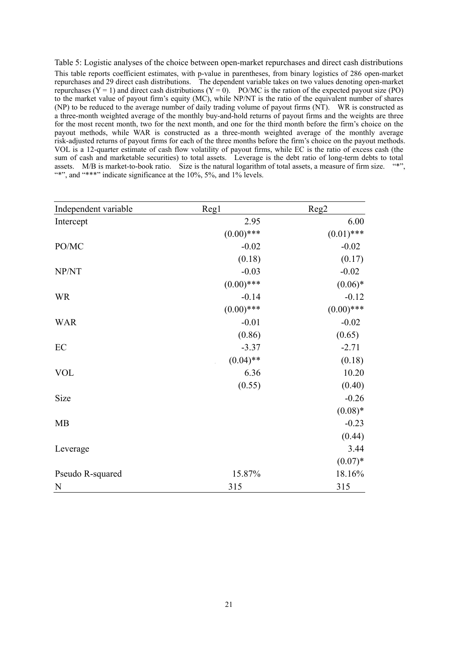Table 5: Logistic analyses of the choice between open-market repurchases and direct cash distributions This table reports coefficient estimates, with p-value in parentheses, from binary logistics of 286 open-market repurchases and 29 direct cash distributions. The dependent variable takes on two values denoting open-market repurchases (Y = 1) and direct cash distributions (Y = 0). PO/MC is the ration of the expected payout size (PO) to the market value of payout firm's equity (MC), while NP/NT is the ratio of the equivalent number of shares (NP) to be reduced to the average number of daily trading volume of payout firms (NT). WR is constructed as a three-month weighted average of the monthly buy-and-hold returns of payout firms and the weights are three for the most recent month, two for the next month, and one for the third month before the firm's choice on the payout methods, while WAR is constructed as a three-month weighted average of the monthly average risk-adjusted returns of payout firms for each of the three months before the firm's choice on the payout methods. VOL is a 12-quarter estimate of cash flow volatility of payout firms, while EC is the ratio of excess cash (the sum of cash and marketable securities) to total assets. Leverage is the debt ratio of long-term debts to total assets. M/B is market-to-book ratio. Size is the natural logarithm of total assets, a measure of firm size. "\*", "\*", and "\*\*\*" indicate significance at the 10%, 5%, and 1% levels.

| Independent variable | Reg1         | Reg <sub>2</sub> |
|----------------------|--------------|------------------|
| Intercept            | 2.95         | 6.00             |
|                      | $(0.00)$ *** | $(0.01)$ ***     |
| PO/MC                | $-0.02$      | $-0.02$          |
|                      | (0.18)       | (0.17)           |
| NP/NT                | $-0.03$      | $-0.02$          |
|                      | $(0.00)$ *** | $(0.06)*$        |
| <b>WR</b>            | $-0.14$      | $-0.12$          |
|                      | $(0.00)$ *** | $(0.00)$ ***     |
| <b>WAR</b>           | $-0.01$      | $-0.02$          |
|                      | (0.86)       | (0.65)           |
| EC                   | $-3.37$      | $-2.71$          |
|                      | $(0.04)$ **  | (0.18)           |
| <b>VOL</b>           | 6.36         | 10.20            |
|                      | (0.55)       | (0.40)           |
| Size                 |              | $-0.26$          |
|                      |              | $(0.08)*$        |
| <b>MB</b>            |              | $-0.23$          |
|                      |              | (0.44)           |
| Leverage             |              | 3.44             |
|                      |              | $(0.07)*$        |
| Pseudo R-squared     | 15.87%       | 18.16%           |
| N                    | 315          | 315              |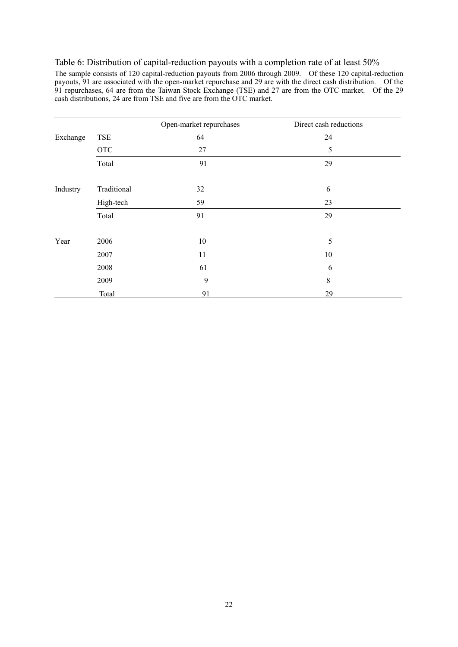|          |             | Open-market repurchases | Direct cash reductions |
|----------|-------------|-------------------------|------------------------|
| Exchange | <b>TSE</b>  | 64                      | 24                     |
|          | <b>OTC</b>  | 27                      | 5                      |
|          | Total       | 91                      | 29                     |
| Industry | Traditional | 32                      | 6                      |
|          | High-tech   | 59                      | 23                     |
|          | Total       | 91                      | 29                     |
| Year     | 2006        | 10                      | 5                      |
|          | 2007        | 11                      | 10                     |
|          | 2008        | 61                      | 6                      |
|          | 2009        | 9                       | 8                      |
|          | Total       | 91                      | 29                     |

Table 6: Distribution of capital-reduction payouts with a completion rate of at least 50%

cash distributions, 24 are from TSE and five are from the OTC market.

The sample consists of 120 capital-reduction payouts from 2006 through 2009. Of these 120 capital-reduction payouts, 91 are associated with the open-market repurchase and 29 are with the direct cash distribution. Of the 91 repurchases, 64 are from the Taiwan Stock Exchange (TSE) and 27 are from the OTC market. Of the 29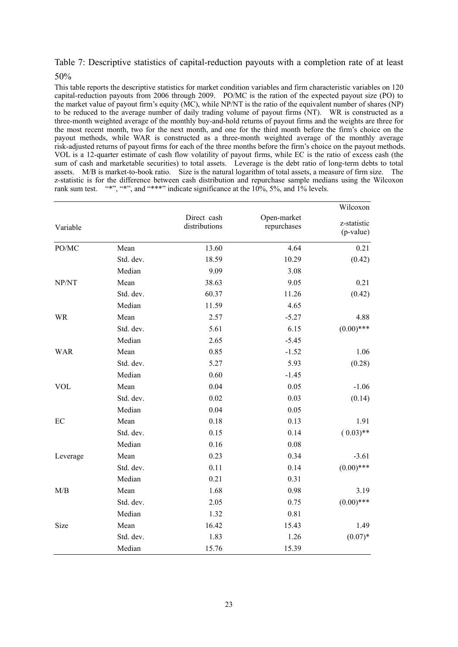### Table 7: Descriptive statistics of capital-reduction payouts with a completion rate of at least 50%

This table reports the descriptive statistics for market condition variables and firm characteristic variables on 120 capital-reduction payouts from 2006 through 2009. PO/MC is the ration of the expected payout size (PO) to the market value of payout firm's equity (MC), while NP/NT is the ratio of the equivalent number of shares (NP) to be reduced to the average number of daily trading volume of payout firms (NT). WR is constructed as a three-month weighted average of the monthly buy-and-hold returns of payout firms and the weights are three for the most recent month, two for the next month, and one for the third month before the firm's choice on the payout methods, while WAR is constructed as a three-month weighted average of the monthly average risk-adjusted returns of payout firms for each of the three months before the firm's choice on the payout methods. VOL is a 12-quarter estimate of cash flow volatility of payout firms, while EC is the ratio of excess cash (the sum of cash and marketable securities) to total assets. Leverage is the debt ratio of long-term debts to total assets. M/B is market-to-book ratio. Size is the natural logarithm of total assets, a measure of firm size. The z-statistic is for the difference between cash distribution and repurchase sample medians using the Wilcoxon rank sum test. "\*", "\*", and "\*\*\*" indicate significance at the  $10\%$ , 5%, and  $1\%$  levels.

|            |           |                              |                            | Wilcoxon                 |
|------------|-----------|------------------------------|----------------------------|--------------------------|
| Variable   |           | Direct cash<br>distributions | Open-market<br>repurchases | z-statistic<br>(p-value) |
| PO/MC      | Mean      | 13.60                        | 4.64                       | 0.21                     |
|            | Std. dev. | 18.59                        | 10.29                      | (0.42)                   |
|            | Median    | 9.09                         | 3.08                       |                          |
| NP/NT      | Mean      | 38.63                        | 9.05                       | 0.21                     |
|            | Std. dev. | 60.37                        | 11.26                      | (0.42)                   |
|            | Median    | 11.59                        | 4.65                       |                          |
| <b>WR</b>  | Mean      | 2.57                         | $-5.27$                    | 4.88                     |
|            | Std. dev. | 5.61                         | 6.15                       | $(0.00)$ ***             |
|            | Median    | 2.65                         | $-5.45$                    |                          |
| <b>WAR</b> | Mean      | 0.85                         | $-1.52$                    | 1.06                     |
|            | Std. dev. | 5.27                         | 5.93                       | (0.28)                   |
|            | Median    | 0.60                         | $-1.45$                    |                          |
| <b>VOL</b> | Mean      | 0.04                         | 0.05                       | $-1.06$                  |
|            | Std. dev. | 0.02                         | 0.03                       | (0.14)                   |
|            | Median    | 0.04                         | 0.05                       |                          |
| EC         | Mean      | 0.18                         | 0.13                       | 1.91                     |
|            | Std. dev. | 0.15                         | 0.14                       | $(0.03)$ **              |
|            | Median    | 0.16                         | 0.08                       |                          |
| Leverage   | Mean      | 0.23                         | 0.34                       | $-3.61$                  |
|            | Std. dev. | 0.11                         | 0.14                       | $(0.00)$ ***             |
|            | Median    | 0.21                         | 0.31                       |                          |
| M/B        | Mean      | 1.68                         | 0.98                       | 3.19                     |
|            | Std. dev. | 2.05                         | 0.75                       | $(0.00)$ ***             |
|            | Median    | 1.32                         | 0.81                       |                          |
| Size       | Mean      | 16.42                        | 15.43                      | 1.49                     |
|            | Std. dev. | 1.83                         | 1.26                       | $(0.07)*$                |
|            | Median    | 15.76                        | 15.39                      |                          |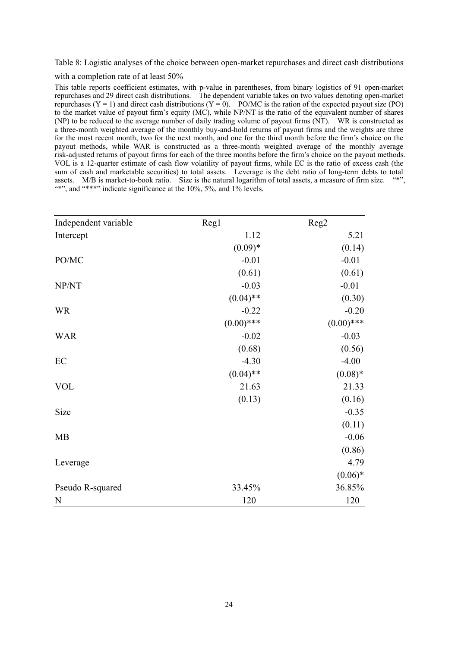Table 8: Logistic analyses of the choice between open-market repurchases and direct cash distributions

#### with a completion rate of at least 50%

This table reports coefficient estimates, with p-value in parentheses, from binary logistics of 91 open-market repurchases and 29 direct cash distributions. The dependent variable takes on two values denoting open-market repurchases (Y = 1) and direct cash distributions (Y = 0). PO/MC is the ration of the expected payout size (PO) to the market value of payout firm's equity (MC), while NP/NT is the ratio of the equivalent number of shares (NP) to be reduced to the average number of daily trading volume of payout firms (NT). WR is constructed as a three-month weighted average of the monthly buy-and-hold returns of payout firms and the weights are three for the most recent month, two for the next month, and one for the third month before the firm's choice on the payout methods, while WAR is constructed as a three-month weighted average of the monthly average risk-adjusted returns of payout firms for each of the three months before the firm's choice on the payout methods. VOL is a 12-quarter estimate of cash flow volatility of payout firms, while EC is the ratio of excess cash (the sum of cash and marketable securities) to total assets. Leverage is the debt ratio of long-term debts to total assets. M/B is market-to-book ratio. Size is the natural logarithm of total assets, a measure of firm size. "\*", "\*", and "\*\*\*" indicate significance at the 10%, 5%, and 1% levels.

| Independent variable | Reg1         | Reg <sub>2</sub> |
|----------------------|--------------|------------------|
| Intercept            | 1.12         | 5.21             |
|                      | $(0.09)*$    | (0.14)           |
| PO/MC                | $-0.01$      | $-0.01$          |
|                      | (0.61)       | (0.61)           |
| NP/NT                | $-0.03$      | $-0.01$          |
|                      | $(0.04)$ **  | (0.30)           |
| <b>WR</b>            | $-0.22$      | $-0.20$          |
|                      | $(0.00)$ *** | $(0.00)$ ***     |
| <b>WAR</b>           | $-0.02$      | $-0.03$          |
|                      | (0.68)       | (0.56)           |
| EC                   | $-4.30$      | $-4.00$          |
|                      | $(0.04)$ **  | $(0.08)*$        |
| <b>VOL</b>           | 21.63        | 21.33            |
|                      | (0.13)       | (0.16)           |
| Size                 |              | $-0.35$          |
|                      |              | (0.11)           |
| <b>MB</b>            |              | $-0.06$          |
|                      |              | (0.86)           |
| Leverage             |              | 4.79             |
|                      |              | $(0.06)*$        |
| Pseudo R-squared     | 33.45%       | 36.85%           |
| N                    | 120          | 120              |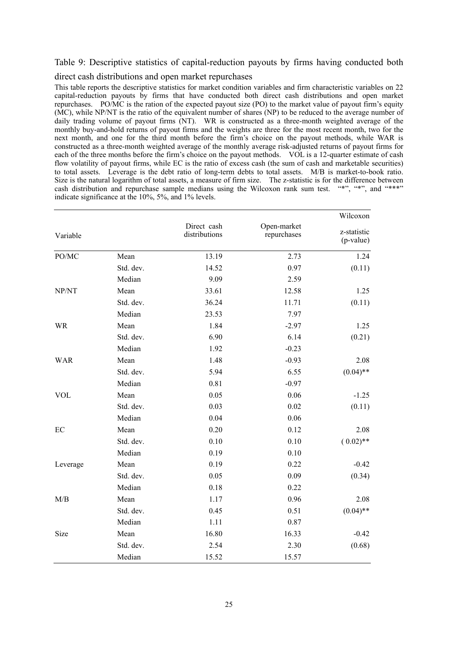#### Table 9: Descriptive statistics of capital-reduction payouts by firms having conducted both

direct cash distributions and open market repurchases

This table reports the descriptive statistics for market condition variables and firm characteristic variables on 22 capital-reduction payouts by firms that have conducted both direct cash distributions and open market repurchases. PO/MC is the ration of the expected payout size (PO) to the market value of payout firm's equity (MC), while NP/NT is the ratio of the equivalent number of shares (NP) to be reduced to the average number of daily trading volume of payout firms (NT). WR is constructed as a three-month weighted average of the monthly buy-and-hold returns of payout firms and the weights are three for the most recent month, two for the next month, and one for the third month before the firm's choice on the payout methods, while WAR is constructed as a three-month weighted average of the monthly average risk-adjusted returns of payout firms for each of the three months before the firm's choice on the payout methods. VOL is a 12-quarter estimate of cash flow volatility of payout firms, while EC is the ratio of excess cash (the sum of cash and marketable securities) to total assets. Leverage is the debt ratio of long-term debts to total assets. M/B is market-to-book ratio. Size is the natural logarithm of total assets, a measure of firm size. The z-statistic is for the difference between cash distribution and repurchase sample medians using the Wilcoxon rank sum test. "\*", "\*", and "\*\*\*" indicate significance at the 10%, 5%, and 1% levels.

|            |           |                              |                            | Wilcoxon                 |
|------------|-----------|------------------------------|----------------------------|--------------------------|
| Variable   |           | Direct cash<br>distributions | Open-market<br>repurchases | z-statistic<br>(p-value) |
| PO/MC      | Mean      | 13.19                        | 2.73                       | 1.24                     |
|            | Std. dev. | 14.52                        | 0.97                       | (0.11)                   |
|            | Median    | 9.09                         | 2.59                       |                          |
| NP/NT      | Mean      | 33.61                        | 12.58                      | 1.25                     |
|            | Std. dev. | 36.24                        | 11.71                      | (0.11)                   |
|            | Median    | 23.53                        | 7.97                       |                          |
| <b>WR</b>  | Mean      | 1.84                         | $-2.97$                    | 1.25                     |
|            | Std. dev. | 6.90                         | 6.14                       | (0.21)                   |
|            | Median    | 1.92                         | $-0.23$                    |                          |
| <b>WAR</b> | Mean      | 1.48                         | $-0.93$                    | 2.08                     |
|            | Std. dev. | 5.94                         | 6.55                       | $(0.04)$ **              |
|            | Median    | 0.81                         | $-0.97$                    |                          |
| <b>VOL</b> | Mean      | 0.05                         | 0.06                       | $-1.25$                  |
|            | Std. dev. | 0.03                         | 0.02                       | (0.11)                   |
|            | Median    | 0.04                         | 0.06                       |                          |
| EC         | Mean      | 0.20                         | 0.12                       | 2.08                     |
|            | Std. dev. | 0.10                         | 0.10                       | $(0.02)$ **              |
|            | Median    | 0.19                         | 0.10                       |                          |
| Leverage   | Mean      | 0.19                         | 0.22                       | $-0.42$                  |
|            | Std. dev. | 0.05                         | 0.09                       | (0.34)                   |
|            | Median    | 0.18                         | 0.22                       |                          |
| M/B        | Mean      | 1.17                         | 0.96                       | 2.08                     |
|            | Std. dev. | 0.45                         | 0.51                       | $(0.04)$ **              |
|            | Median    | 1.11                         | 0.87                       |                          |
| Size       | Mean      | 16.80                        | 16.33                      | $-0.42$                  |
|            | Std. dev. | 2.54                         | 2.30                       | (0.68)                   |
|            | Median    | 15.52                        | 15.57                      |                          |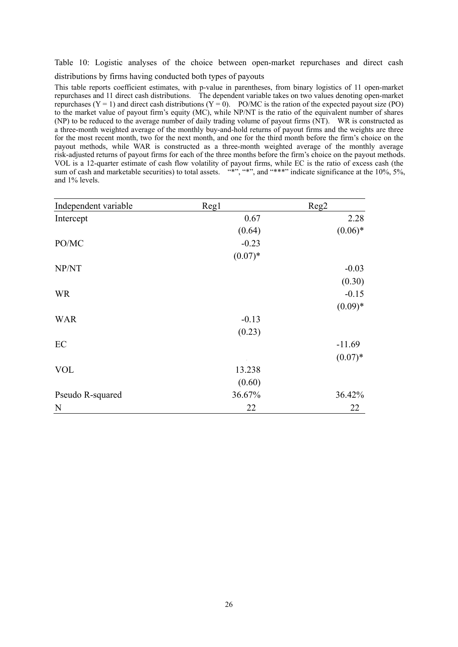Table 10: Logistic analyses of the choice between open-market repurchases and direct cash

distributions by firms having conducted both types of payouts

This table reports coefficient estimates, with p-value in parentheses, from binary logistics of 11 open-market repurchases and 11 direct cash distributions. The dependent variable takes on two values denoting open-market repurchases (Y = 1) and direct cash distributions (Y = 0). PO/MC is the ration of the expected payout size (PO) to the market value of payout firm's equity (MC), while NP/NT is the ratio of the equivalent number of shares (NP) to be reduced to the average number of daily trading volume of payout firms (NT). WR is constructed as a three-month weighted average of the monthly buy-and-hold returns of payout firms and the weights are three for the most recent month, two for the next month, and one for the third month before the firm's choice on the payout methods, while WAR is constructed as a three-month weighted average of the monthly average risk-adjusted returns of payout firms for each of the three months before the firm's choice on the payout methods. VOL is a 12-quarter estimate of cash flow volatility of payout firms, while EC is the ratio of excess cash (the sum of cash and marketable securities) to total assets. "\*", "\*", and "\*\*\*" indicate significance at the 10%, 5%, and 1% levels.

| Independent variable | Reg1       | Reg2       |
|----------------------|------------|------------|
| Intercept            | 0.67       | 2.28       |
|                      | (0.64)     | $(0.06)*$  |
| PO/MC                | $-0.23$    |            |
|                      | $(0.07)^*$ |            |
| NP/NT                |            | $-0.03$    |
|                      |            | (0.30)     |
| <b>WR</b>            |            | $-0.15$    |
|                      |            | $(0.09)*$  |
| <b>WAR</b>           | $-0.13$    |            |
|                      | (0.23)     |            |
| EC                   |            | $-11.69$   |
|                      |            | $(0.07)^*$ |
| <b>VOL</b>           | 13.238     |            |
|                      | (0.60)     |            |
| Pseudo R-squared     | 36.67%     | 36.42%     |
| N                    | 22         | 22         |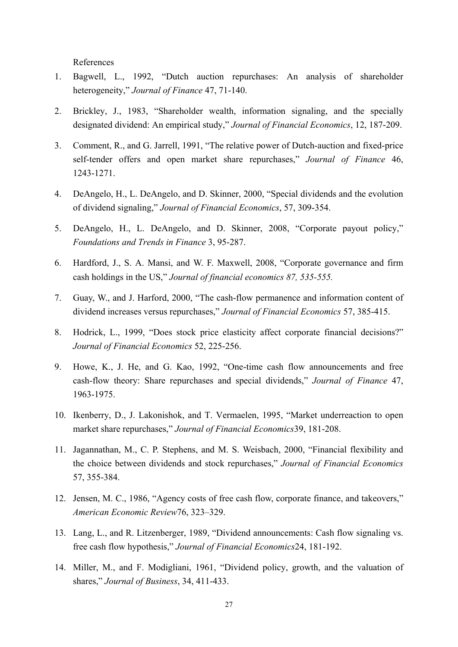References

- 1. Bagwell, L., 1992, "Dutch auction repurchases: An analysis of shareholder heterogeneity," *Journal of Finance* 47, 71-140.
- 2. Brickley, J., 1983, "Shareholder wealth, information signaling, and the specially designated dividend: An empirical study," *Journal of Financial Economics*, 12, 187-209.
- 3. Comment, R., and G. Jarrell, 1991, "The relative power of Dutch-auction and fixed-price self-tender offers and open market share repurchases," *Journal of Finance* 46, 1243-1271.
- 4. DeAngelo, H., L. DeAngelo, and D. Skinner, 2000, "Special dividends and the evolution of dividend signaling," *Journal of Financial Economics*, 57, 309-354.
- 5. DeAngelo, H., L. DeAngelo, and D. Skinner, 2008, "Corporate payout policy," *Foundations and Trends in Finance* 3, 95-287.
- 6. Hardford, J., S. A. Mansi, and W. F. Maxwell, 2008, "Corporate governance and firm cash holdings in the US," *Journal of financial economics 87, 535-555.*
- 7. Guay, W., and J. Harford, 2000, "The cash-flow permanence and information content of dividend increases versus repurchases," *Journal of Financial Economics* 57, 385-415.
- 8. Hodrick, L., 1999, "Does stock price elasticity affect corporate financial decisions?" *Journal of Financial Economics* 52, 225-256.
- 9. Howe, K., J. He, and G. Kao, 1992, "One-time cash flow announcements and free cash-flow theory: Share repurchases and special dividends," *Journal of Finance* 47, 1963-1975.
- 10. Ikenberry, D., J. Lakonishok, and T. Vermaelen, 1995, "Market underreaction to open market share repurchases," *Journal of Financial Economics*39, 181-208.
- 11. Jagannathan, M., C. P. Stephens, and M. S. Weisbach, 2000, "Financial flexibility and the choice between dividends and stock repurchases," *Journal of Financial Economics* 57, 355-384.
- 12. Jensen, M. C., 1986, "Agency costs of free cash flow, corporate finance, and takeovers," *American Economic Review*76, 323–329.
- 13. Lang, L., and R. Litzenberger, 1989, "Dividend announcements: Cash flow signaling vs. free cash flow hypothesis," *Journal of Financial Economics*24, 181-192.
- 14. Miller, M., and F. Modigliani, 1961, "Dividend policy, growth, and the valuation of shares," *Journal of Business*, 34, 411-433.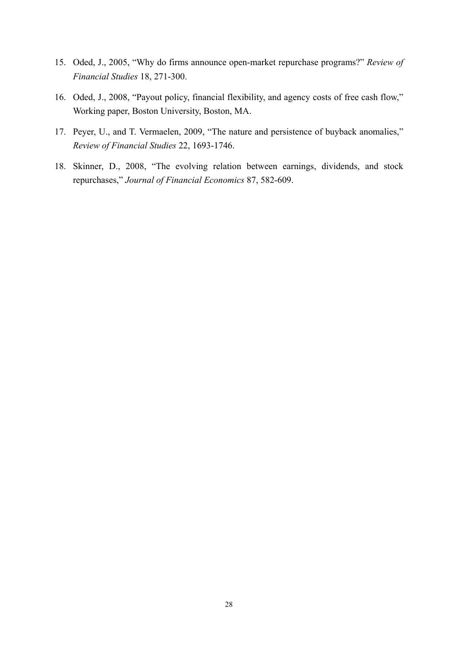- 15. Oded, J., 2005, "Why do firms announce open-market repurchase programs?" *Review of Financial Studies* 18, 271-300.
- 16. Oded, J., 2008, "Payout policy, financial flexibility, and agency costs of free cash flow," Working paper, Boston University, Boston, MA.
- 17. Peyer, U., and T. Vermaelen, 2009, "The nature and persistence of buyback anomalies," *Review of Financial Studies* 22, 1693-1746.
- 18. Skinner, D., 2008, "The evolving relation between earnings, dividends, and stock repurchases," *Journal of Financial Economics* 87, 582-609.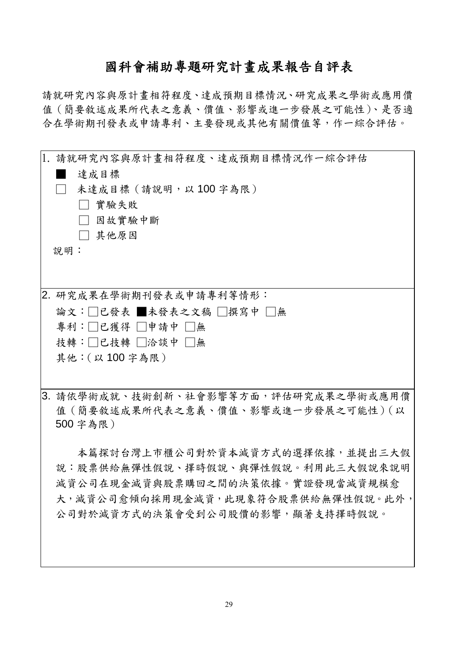# 國科會補助專題研究計畫成果報告自評表

請就研究內容與原計畫相符程度、達成預期目標情況、研究成果之學術或應用價 值(簡要敘述成果所代表之意義、價值、影響或進一步發展之可能性)、是否適 合在學術期刊發表或申請專利、主要發現或其他有關價值等,作一綜合評估。

| 1. 請就研究內容與原計畫相符程度、達成預期目標情況作一綜合評估                |
|-------------------------------------------------|
| 達成目標                                            |
| 未達成目標 (請說明,以100字為限)                             |
| 實驗失敗                                            |
| 因故實驗中斷                                          |
| 其他原因<br>$\perp$                                 |
| 說明:                                             |
|                                                 |
|                                                 |
| 2. 研究成果在學術期刊發表或申請專利等情形:                         |
| 論文:□已發表 ■未發表之文稿 □撰寫中 □無                         |
| 專利:□已獲得 □申請中 □無                                 |
| 技轉:□已技轉 □洽談中 □無                                 |
| 其他: (以100字為限)                                   |
|                                                 |
|                                                 |
| 3. 請依學術成就、技術創新、社會影響等方面,評估研究成果之學術或應用價            |
| 值 (簡要敘述成果所代表之意義、價值、影響或進一步發展之可能性) (以<br>500 字為限) |
|                                                 |
| 本篇探討台灣上市櫃公司對於資本減資方式的選擇依據,並提出三大假                 |
| 說:股票供給無彈性假說、擇時假說、與彈性假說。利用此三大假說來說明               |
| 減資公司在現金減資與股票購回之間的決策依據。實證發現當減資規模愈                |
| 大,減資公司愈傾向採用現金減資,此現象符合股票供給無彈性假說。此外,              |
| 公司對於減資方式的決策會受到公司股價的影響,顯著支持擇時假說。                 |
|                                                 |
|                                                 |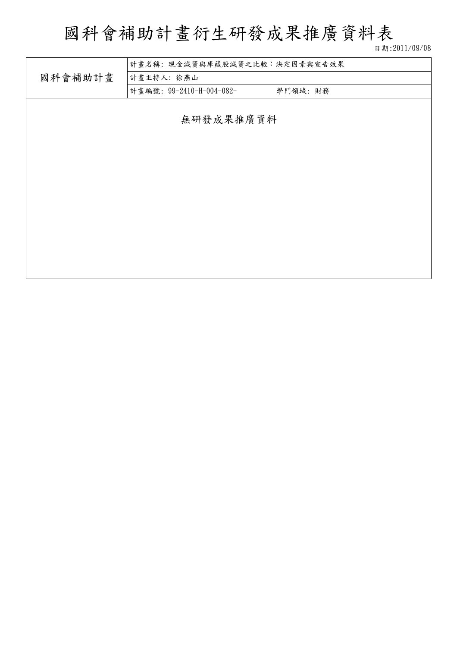# 國科會補助計畫衍生研發成果推廣資料表

日期:2011/09/08

|         | 計畫名稱:現金減資與庫藏股減資之比較:決定因素與宣告效果 |          |  |  |  |
|---------|------------------------------|----------|--|--|--|
| 國科會補助計畫 | 計畫主持人: 徐燕山                   |          |  |  |  |
|         | 計畫編號: 99-2410-H-004-082-     | 學門領域: 財務 |  |  |  |
|         |                              |          |  |  |  |
|         | 無研發成果推廣資料                    |          |  |  |  |
|         |                              |          |  |  |  |
|         |                              |          |  |  |  |
|         |                              |          |  |  |  |
|         |                              |          |  |  |  |
|         |                              |          |  |  |  |
|         |                              |          |  |  |  |
|         |                              |          |  |  |  |
|         |                              |          |  |  |  |
|         |                              |          |  |  |  |
|         |                              |          |  |  |  |
|         |                              |          |  |  |  |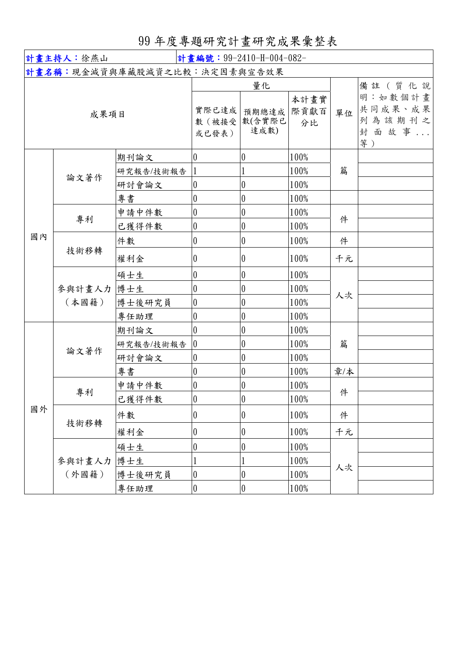99 年度專題研究計畫研究成果彙整表

| 計畫主持人:徐燕山<br>計畫編號: 99-2410-H-004-082- |                     |           |                          |                               |                    |     |                                                       |
|---------------------------------------|---------------------|-----------|--------------------------|-------------------------------|--------------------|-----|-------------------------------------------------------|
| 計畫名稱:現金減資與庫藏股減資之比較:決定因素與宣告效果          |                     |           |                          |                               |                    |     |                                                       |
| 成果項目                                  |                     |           | 實際已達成<br>數 (被接受<br>或已發表) | 量化<br>預期總達成<br>數(含實際已<br>達成數) | 本計畫實<br>際貢獻百<br>分比 | 單位  | 備註 (質化說<br>明:如數個計畫<br>共同成果、成果<br>列為該期刊之<br>封面故事<br>等) |
|                                       |                     | 期刊論文      | $\overline{0}$           | $\overline{0}$                | 100%               |     |                                                       |
|                                       |                     | 研究報告/技術報告 |                          |                               | 100%               | 篇   |                                                       |
|                                       | 論文著作                | 研討會論文     | $\boldsymbol{0}$         | $\overline{0}$                | 100%               |     |                                                       |
|                                       |                     | 專書        | $\boldsymbol{0}$         | $\boldsymbol{0}$              | 100%               |     |                                                       |
|                                       | 專利                  | 申請中件數     | $\overline{0}$           | $\boldsymbol{0}$              | 100%               | 件   |                                                       |
|                                       |                     | 已獲得件數     | $\boldsymbol{0}$         | $\overline{0}$                | 100%               |     |                                                       |
| 國內                                    | 技術移轉                | 件數        | 0                        | $\overline{0}$                | 100%               | 件   |                                                       |
|                                       |                     | 權利金       | $\overline{0}$           | $\boldsymbol{0}$              | 100%               | 千元  |                                                       |
|                                       |                     | 碩士生       | $\boldsymbol{0}$         | $\overline{0}$                | 100%               |     |                                                       |
|                                       | 參與計畫人力 博士生<br>(本國籍) |           | $\theta$                 | $\boldsymbol{0}$              | 100%               | 人次  |                                                       |
|                                       |                     | 博士後研究員    | $\boldsymbol{0}$         | $\overline{0}$                | 100%               |     |                                                       |
|                                       |                     | 專任助理      | $\theta$                 | $\boldsymbol{0}$              | 100%               |     |                                                       |
|                                       | 論文著作                | 期刊論文      | $\overline{0}$           | $\overline{0}$                | 100%               |     |                                                       |
|                                       |                     | 研究報告/技術報告 | $\overline{0}$           | $\boldsymbol{0}$              | 100%               | 篇   |                                                       |
|                                       |                     | 研討會論文     | $\overline{0}$           | $\overline{0}$                | 100%               |     |                                                       |
|                                       |                     | 專書        | $\overline{0}$           | $\boldsymbol{0}$              | 100%               | 章/本 |                                                       |
|                                       | 專利                  | 申請中件數     | 0                        | $\overline{0}$                | 100%               | 件   |                                                       |
| 國外                                    |                     | 已獲得件數     | $\vert 0 \vert$          | $\vert 0 \vert$               | 100%               |     |                                                       |
|                                       | 技術移轉                | 件數        | 0                        | $\boldsymbol{0}$              | 100%               | 件   |                                                       |
|                                       |                     | 權利金       | 0                        | $\vert 0 \vert$               | 100%               | 千元  |                                                       |
|                                       |                     | 碩士生       | 0                        | $\overline{0}$                | 100%               |     |                                                       |
|                                       | 參與計畫人力              | 博士生       |                          |                               | 100%               |     |                                                       |
|                                       | (外國籍)               | 博士後研究員    | $\boldsymbol{0}$         | $\overline{0}$                | 100%               | 人次  |                                                       |
|                                       |                     | 專任助理      | $\boldsymbol{0}$         | $\boldsymbol{0}$              | $100\%$            |     |                                                       |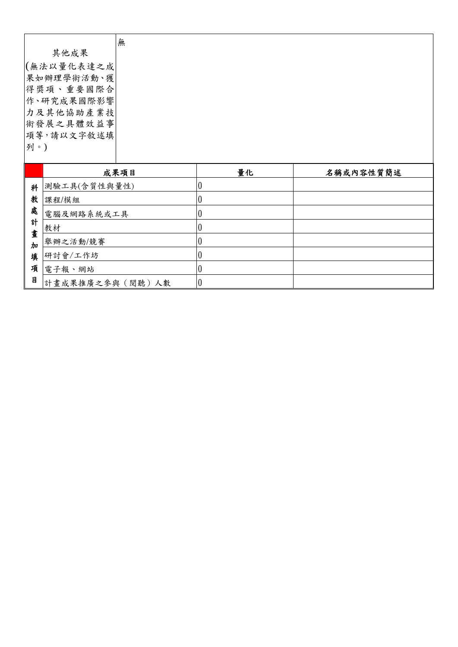|            | 無      |    |           |
|------------|--------|----|-----------|
| 其他成果       |        |    |           |
| (無法以量化表達之成 |        |    |           |
| 果如辦理學術活動、獲 |        |    |           |
| 得獎項、重要國際合  |        |    |           |
| 作、研究成果國際影響 |        |    |           |
| 力及其他協助產業技  |        |    |           |
| 術發展之具體效益事  |        |    |           |
| 項等,請以文字敘述填 |        |    |           |
| 列。)        |        |    |           |
|            |        |    |           |
|            | よ 田 セロ | 旦儿 | 力幼老士穴址所结决 |

|        | 成果項目            | 量化 | 名稱或內容性質簡述 |
|--------|-----------------|----|-----------|
| 科      | 測驗工具(含質性與量性)    |    |           |
| 教      | 課程/模組           |    |           |
| 處      | 電腦及網路系統或工具      |    |           |
| 計<br>畫 | 教材              |    |           |
| 加      | 舉辦之活動/競賽        |    |           |
| 填      | 研討會/工作坊         |    |           |
| 項      | 電子報、網站          |    |           |
| 目      | 計畫成果推廣之參與(閱聽)人數 |    |           |